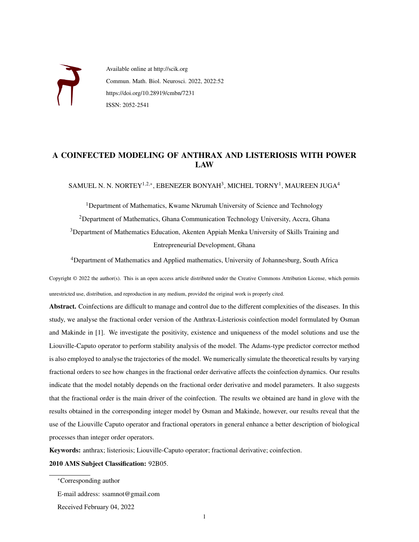

Available online at http://scik.org Commun. Math. Biol. Neurosci. 2022, 2022:52 https://doi.org/10.28919/cmbn/7231 ISSN: 2052-2541

## A COINFECTED MODELING OF ANTHRAX AND LISTERIOSIS WITH POWER LAW

SAMUEL N. N. NORTEY $^{1,2,*}$ , EBENEZER BONYAH $^3$ , MICHEL TORNY $^1$ , MAUREEN JUGA $^4$ 

<sup>1</sup>Department of Mathematics, Kwame Nkrumah University of Science and Technology <sup>2</sup>Department of Mathematics, Ghana Communication Technology University, Accra, Ghana <sup>3</sup>Department of Mathematics Education, Akenten Appiah Menka University of Skills Training and Entrepreneurial Development, Ghana

<sup>4</sup>Department of Mathematics and Applied mathematics, University of Johannesburg, South Africa

Copyright © 2022 the author(s). This is an open access article distributed under the Creative Commons Attribution License, which permits unrestricted use, distribution, and reproduction in any medium, provided the original work is properly cited.

Abstract. Coinfections are difficult to manage and control due to the different complexities of the diseases. In this study, we analyse the fractional order version of the Anthrax-Listeriosis coinfection model formulated by Osman and Makinde in [\[1\]](#page-37-0). We investigate the positivity, existence and uniqueness of the model solutions and use the Liouville-Caputo operator to perform stability analysis of the model. The Adams-type predictor corrector method is also employed to analyse the trajectories of the model. We numerically simulate the theoretical results by varying fractional orders to see how changes in the fractional order derivative affects the coinfection dynamics. Our results indicate that the model notably depends on the fractional order derivative and model parameters. It also suggests that the fractional order is the main driver of the coinfection. The results we obtained are hand in glove with the results obtained in the corresponding integer model by Osman and Makinde, however, our results reveal that the use of the Liouville Caputo operator and fractional operators in general enhance a better description of biological processes than integer order operators.

Keywords: anthrax; listeriosis; Liouville-Caputo operator; fractional derivative; coinfection.

2010 AMS Subject Classification: 92B05.

<sup>∗</sup>Corresponding author

E-mail address: ssamnot@gmail.com

Received February 04, 2022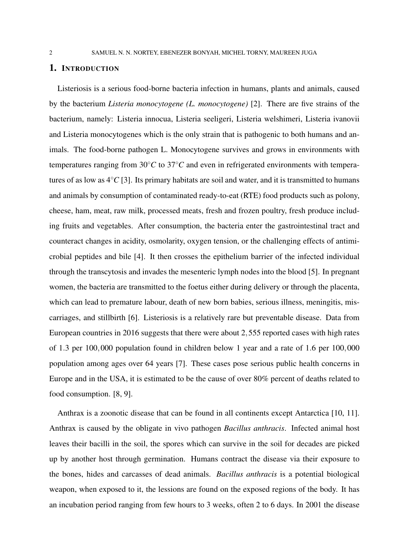### 1. INTRODUCTION

Listeriosis is a serious food-borne bacteria infection in humans, plants and animals, caused by the bacterium *Listeria monocytogene (L. monocytogene)* [\[2\]](#page-37-1). There are five strains of the bacterium, namely: Listeria innocua, Listeria seeligeri, Listeria welshimeri, Listeria ivanovii and Listeria monocytogenes which is the only strain that is pathogenic to both humans and animals. The food-borne pathogen L. Monocytogene survives and grows in environments with temperatures ranging from 30◦*C* to 37◦*C* and even in refrigerated environments with temperatures of as low as 4◦*C* [\[3\]](#page-37-2). Its primary habitats are soil and water, and it is transmitted to humans and animals by consumption of contaminated ready-to-eat (RTE) food products such as polony, cheese, ham, meat, raw milk, processed meats, fresh and frozen poultry, fresh produce including fruits and vegetables. After consumption, the bacteria enter the gastrointestinal tract and counteract changes in acidity, osmolarity, oxygen tension, or the challenging effects of antimicrobial peptides and bile [\[4\]](#page-38-0). It then crosses the epithelium barrier of the infected individual through the transcytosis and invades the mesenteric lymph nodes into the blood [\[5\]](#page-38-1). In pregnant women, the bacteria are transmitted to the foetus either during delivery or through the placenta, which can lead to premature labour, death of new born babies, serious illness, meningitis, miscarriages, and stillbirth [\[6\]](#page-38-2). Listeriosis is a relatively rare but preventable disease. Data from European countries in 2016 suggests that there were about 2,555 reported cases with high rates of 1.3 per 100,000 population found in children below 1 year and a rate of 1.6 per 100,000 population among ages over 64 years [\[7\]](#page-38-3). These cases pose serious public health concerns in Europe and in the USA, it is estimated to be the cause of over 80% percent of deaths related to food consumption. [\[8,](#page-38-4) [9\]](#page-38-5).

Anthrax is a zoonotic disease that can be found in all continents except Antarctica [\[10,](#page-38-6) [11\]](#page-38-7). Anthrax is caused by the obligate in vivo pathogen *Bacillus anthracis*. Infected animal host leaves their bacilli in the soil, the spores which can survive in the soil for decades are picked up by another host through germination. Humans contract the disease via their exposure to the bones, hides and carcasses of dead animals. *Bacillus anthracis* is a potential biological weapon, when exposed to it, the lessions are found on the exposed regions of the body. It has an incubation period ranging from few hours to 3 weeks, often 2 to 6 days. In 2001 the disease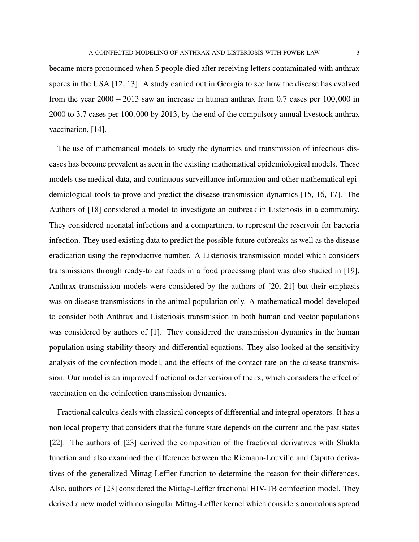became more pronounced when 5 people died after receiving letters contaminated with anthrax spores in the USA [\[12,](#page-38-8) [13\]](#page-38-9). A study carried out in Georgia to see how the disease has evolved from the year  $2000 - 2013$  saw an increase in human anthrax from 0.7 cases per 100,000 in 2000 to 3.7 cases per 100,000 by 2013, by the end of the compulsory annual livestock anthrax vaccination, [\[14\]](#page-38-10).

The use of mathematical models to study the dynamics and transmission of infectious diseases has become prevalent as seen in the existing mathematical epidemiological models. These models use medical data, and continuous surveillance information and other mathematical epidemiological tools to prove and predict the disease transmission dynamics [\[15,](#page-38-11) [16,](#page-38-12) [17\]](#page-38-13). The Authors of [\[18\]](#page-38-14) considered a model to investigate an outbreak in Listeriosis in a community. They considered neonatal infections and a compartment to represent the reservoir for bacteria infection. They used existing data to predict the possible future outbreaks as well as the disease eradication using the reproductive number. A Listeriosis transmission model which considers transmissions through ready-to eat foods in a food processing plant was also studied in [\[19\]](#page-39-0). Anthrax transmission models were considered by the authors of [\[20,](#page-39-1) [21\]](#page-39-2) but their emphasis was on disease transmissions in the animal population only. A mathematical model developed to consider both Anthrax and Listeriosis transmission in both human and vector populations was considered by authors of [\[1\]](#page-37-0). They considered the transmission dynamics in the human population using stability theory and differential equations. They also looked at the sensitivity analysis of the coinfection model, and the effects of the contact rate on the disease transmission. Our model is an improved fractional order version of theirs, which considers the effect of vaccination on the coinfection transmission dynamics.

Fractional calculus deals with classical concepts of differential and integral operators. It has a non local property that considers that the future state depends on the current and the past states [\[22\]](#page-39-3). The authors of [\[23\]](#page-39-4) derived the composition of the fractional derivatives with Shukla function and also examined the difference between the Riemann-Louville and Caputo derivatives of the generalized Mittag-Leffler function to determine the reason for their differences. Also, authors of [\[23\]](#page-39-4) considered the Mittag-Leffler fractional HIV-TB coinfection model. They derived a new model with nonsingular Mittag-Leffler kernel which considers anomalous spread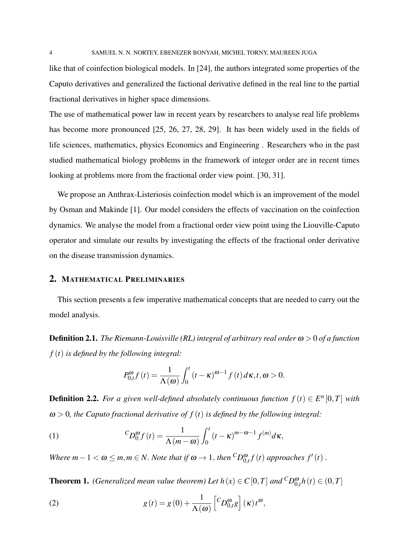like that of coinfection biological models. In [\[24\]](#page-39-5), the authors integrated some properties of the Caputo derivatives and generalized the factional derivative defined in the real line to the partial fractional derivatives in higher space dimensions.

The use of mathematical power law in recent years by researchers to analyse real life problems has become more pronounced [\[25,](#page-39-6) [26,](#page-39-7) [27,](#page-39-8) [28,](#page-39-9) [29\]](#page-39-10). It has been widely used in the fields of life sciences, mathematics, physics Economics and Engineering . Researchers who in the past studied mathematical biology problems in the framework of integer order are in recent times looking at problems more from the fractional order view point. [\[30,](#page-39-11) [31\]](#page-39-12).

We propose an Anthrax-Listeriosis coinfection model which is an improvement of the model by Osman and Makinde [\[1\]](#page-37-0). Our model considers the effects of vaccination on the coinfection dynamics. We analyse the model from a fractional order view point using the Liouville-Caputo operator and simulate our results by investigating the effects of the fractional order derivative on the disease transmission dynamics.

## 2. MATHEMATICAL PRELIMINARIES

This section presents a few imperative mathematical concepts that are needed to carry out the model analysis.

Definition 2.1. *The Riemann-Louisville (RL) integral of arbitrary real order* ω > 0 *of a function f* (*t*) *is defined by the following integral:*

$$
P_{0,t}^{\omega}f(t) = \frac{1}{\Lambda(\omega)} \int_0^t (t - \kappa)^{\omega - 1} f(t) d\kappa, t, \omega > 0.
$$

**Definition 2.2.** For a given well-defined absolutely continuous function  $f(t) \in E^n[0,T]$  with ω > 0*, the Caputo fractional derivative of f* (*t*) *is defined by the following integral:*

(1) 
$$
{}^{C}D_{0}^{\omega}f(t) = \frac{1}{\Lambda(m-\omega)}\int_{0}^{t}(t-\kappa)^{m-\omega-1}f^{(m)}d\kappa,
$$

*Where*  $m-1 < \omega \leq m, m \in \mathbb{N}$ . *Note that if*  $\omega \to 1$ , *then*  ${}^CD_{0,t}^{\omega} f(t)$  *approaches*  $f'(t)$ .

**Theorem 1.** *(Generalized mean value theorem) Let*  $h(x) \in C[0,T]$  and  ${}^CD_{0,t}^{\omega}h(t) \in (0,T]$ 

(2) 
$$
g(t) = g(0) + \frac{1}{\Lambda(\omega)} \left[ {}^{C}D^{\omega}_{0,t}g \right](\kappa)t^{\omega},
$$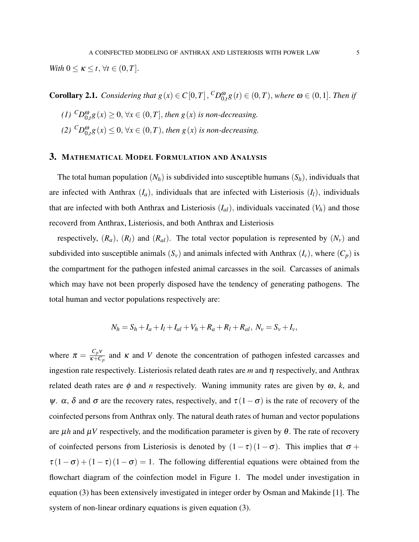*With*  $0 \leq \kappa \leq t$ ,  $\forall t \in (0, T]$ .

<span id="page-4-1"></span>**Corollary 2.1.** *Considering that*  $g(x) \in C[0,T]$ ,  ${}^CD_{0,t}^{\omega}g(t) \in (0,T)$ , *where*  $\omega \in (0,1]$ *. Then if* 

- *(1)*  ${}^CD_{0,t}^{\omega}g(x) \ge 0$ ,  $\forall x \in (0,T]$ , *then g*(*x*) *is non-decreasing.*
- *(2)*  ${}^{C}D_{0,t}^{\omega}g(x) \le 0$ ,  $\forall x \in (0,T)$ , *then g*(*x*) *is non-decreasing.*

### 3. MATHEMATICAL MODEL FORMULATION AND ANALYSIS

The total human population  $(N_h)$  is subdivided into susceptible humans  $(S_h)$ , individuals that are infected with Anthrax  $(I_a)$ , individuals that are infected with Listeriosis  $(I_l)$ , individuals that are infected with both Anthrax and Listeriosis  $(I_{al})$ , individuals vaccinated  $(V_h)$  and those recoverd from Anthrax, Listeriosis, and both Anthrax and Listeriosis

respectively,  $(R_a)$ ,  $(R_l)$  and  $(R_{al})$ . The total vector population is represented by  $(N_v)$  and subdivided into susceptible animals  $(S_v)$  and animals infected with Anthrax  $(I_v)$ , where  $(C_p)$  is the compartment for the pathogen infested animal carcasses in the soil. Carcasses of animals which may have not been properly disposed have the tendency of generating pathogens. The total human and vector populations respectively are:

<span id="page-4-0"></span>
$$
N_h = S_h + I_a + I_l + I_{al} + V_h + R_a + R_l + R_{al}, N_v = S_v + I_v,
$$

where  $\pi = \frac{C_p v}{\kappa + C}$  $\frac{C_p v}{\kappa + C_p}$  and *K* and *V* denote the concentration of pathogen infested carcasses and ingestion rate respectively. Listeriosis related death rates are  $m$  and  $\eta$  respectively, and Anthrax related death rates are  $\phi$  and *n* respectively. Waning immunity rates are given by  $\omega$ , *k*, and  $\psi$ . α, δ and σ are the recovery rates, respectively, and  $\tau(1-\sigma)$  is the rate of recovery of the coinfected persons from Anthrax only. The natural death rates of human and vector populations are  $\mu h$  and  $\mu V$  respectively, and the modification parameter is given by  $\theta$ . The rate of recovery of coinfected persons from Listeriosis is denoted by  $(1 - \tau)(1 - \sigma)$ . This implies that  $\sigma$  +  $\tau (1 - \sigma) + (1 - \tau) (1 - \sigma) = 1$ . The following differential equations were obtained from the flowchart diagram of the coinfection model in Figure [1.](#page-5-0) The model under investigation in equation [\(3\)](#page-4-0) has been extensively investigated in integer order by Osman and Makinde [\[1\]](#page-37-0). The system of non-linear ordinary equations is given equation [\(3\)](#page-4-0).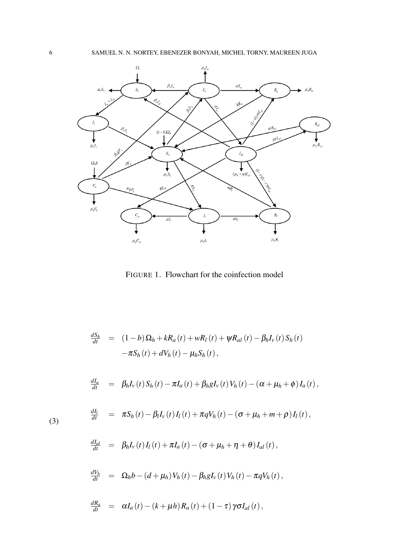

<span id="page-5-0"></span>FIGURE 1. Flowchart for the coinfection model

$$
\frac{dS_h}{dt} = (1-b)\Omega_h + kR_a(t) + wR_l(t) + \psi R_{al}(t) - \beta_h I_v(t)S_h(t) - \pi S_h(t) + dV_h(t) - \mu_h S_h(t),
$$

$$
\frac{dI_a}{dt} = \beta_h I_v(t) S_h(t) - \pi I_a(t) + \beta_h g I_v(t) V_h(t) - (\alpha + \mu_h + \phi) I_a(t),
$$

$$
\frac{dI_l}{dt} = \pi S_h(t) - \beta_l I_v(t) I_l(t) + \pi q V_h(t) - (\sigma + \mu_h + m + \rho) I_l(t),
$$

$$
(3)
$$

$$
\frac{dI_{al}}{dt} = \beta_h I_v(t) I_l(t) + \pi I_a(t) - (\sigma + \mu_h + \eta + \theta) I_{al}(t),
$$

$$
\frac{dV_h}{dt} = \Omega_h b - (d + \mu_h) V_h(t) - \beta_h g I_v(t) V_h(t) - \pi q V_h(t),
$$

$$
\frac{dR_a}{dt} = \alpha I_a(t) - (k + \mu h) R_a(t) + (1 - \tau) \gamma \sigma I_{al}(t),
$$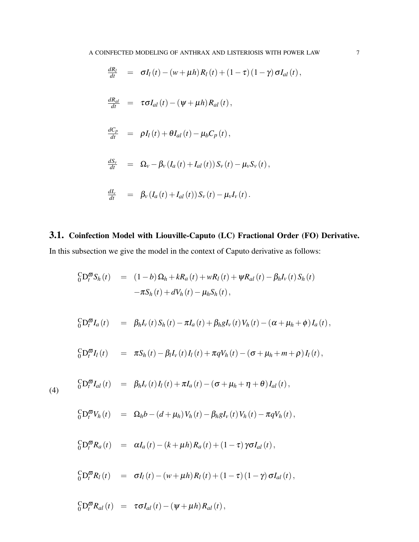$$
\frac{dR_l}{dt} = \sigma I_l(t) - (w + \mu h) R_l(t) + (1 - \tau) (1 - \gamma) \sigma I_{al}(t),
$$
\n
$$
\frac{dR_{al}}{dt} = \tau \sigma I_{al}(t) - (\psi + \mu h) R_{al}(t),
$$
\n
$$
\frac{dC_p}{dt} = \rho I_l(t) + \theta I_{al}(t) - \mu_b C_p(t),
$$
\n
$$
\frac{dS_v}{dt} = \Omega_v - \beta_v (I_a(t) + I_{al}(t)) S_v(t) - \mu_v S_v(t),
$$
\n
$$
\frac{dI_v}{dt} = \beta_v (I_a(t) + I_{al}(t)) S_v(t) - \mu_v I_v(t).
$$

# 3.1. Coinfection Model with Liouville-Caputo (LC) Fractional Order (FO) Derivative.

In this subsection we give the model in the context of Caputo derivative as follows:

<span id="page-6-0"></span>
$$
{}_{0}^{C}D_{t}^{\varpi}S_{h}(t) = (1-b)\Omega_{h} + kR_{a}(t) + wR_{l}(t) + \psi R_{al}(t) - \beta_{h}I_{v}(t)S_{h}(t) - \pi S_{h}(t) + dV_{h}(t) - \mu_{h}S_{h}(t),
$$

$$
{}_0^C D_t^{\varpi} I_a(t) = \beta_h I_v(t) S_h(t) - \pi I_a(t) + \beta_h g I_v(t) V_h(t) - (\alpha + \mu_h + \phi) I_a(t),
$$

$$
{}_{0}^{C}D_{t}^{\sigma}I_{l}(t) = \pi S_{h}(t) - \beta_{l}I_{v}(t)I_{l}(t) + \pi qV_{h}(t) - (\sigma + \mu_{h} + m + \rho)I_{l}(t),
$$

(4) 
$$
\mathrm{G}_{0}^{\mathbf{C}}D_{t}^{\mathbf{\overline{\omega}}}I_{al}\left(t\right) = \beta_{h}I_{v}\left(t\right)I_{l}\left(t\right) + \pi I_{a}\left(t\right) - \left(\sigma + \mu_{h} + \eta + \theta\right)I_{al}\left(t\right),
$$

(4)

$$
{}_{0}^{C}D_{t}^{\varpi}V_{h}(t) = \Omega_{h}b - (d + \mu_{h})V_{h}(t) - \beta_{h}gI_{v}(t)V_{h}(t) - \pi qV_{h}(t),
$$

$$
{}_{0}^{\mathbf{C}}\mathbf{D}_{t}^{\boldsymbol{\varpi}}R_{a}(t) = \alpha I_{a}(t) - (k+\mu h)R_{a}(t) + (1-\tau)\gamma\sigma I_{al}(t),
$$

$$
{}_{0}^{\mathbf{C}}\mathbf{D}_{t}^{\boldsymbol{\varpi}}R_{l}\left(t\right) = \boldsymbol{\sigma}I_{l}\left(t\right)-\left(w+\mu h\right)R_{l}\left(t\right)+\left(1-\tau\right)\left(1-\gamma\right)\boldsymbol{\sigma}I_{al}\left(t\right),\,
$$

$$
{}_{0}^{\mathbf{C}}\mathbf{D}_{t}^{\boldsymbol{\varpi}}R_{al}\left(t\right) = \tau\sigma I_{al}\left(t\right) - \left(\psi + \mu h\right)R_{al}\left(t\right),\,
$$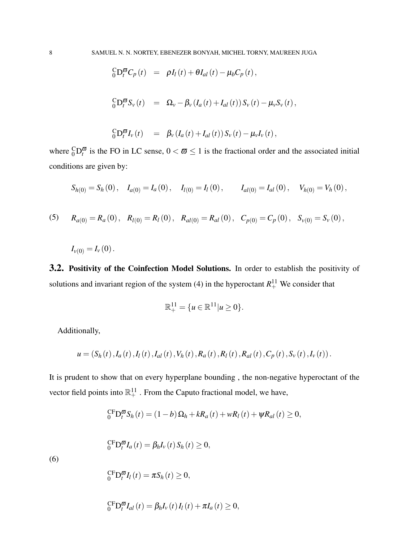$$
{}_{0}^{C}D_{t}^{\varpi}C_{p}(t) = \rho I_{l}(t) + \theta I_{al}(t) - \mu_{b}C_{p}(t),
$$
  

$$
{}_{0}^{C}D_{t}^{\varpi}S_{v}(t) = \Omega_{v} - \beta_{v}(I_{a}(t) + I_{al}(t))S_{v}(t) - \mu_{v}S_{v}(t),
$$
  

$$
{}_{0}^{C}D_{t}^{\varpi}I_{v}(t) = \beta_{v}(I_{a}(t) + I_{al}(t))S_{v}(t) - \mu_{v}I_{v}(t),
$$

where  ${}_{0}^{C}D_{t}^{\varpi}$  is the FO in LC sense,  $0 < \varpi \le 1$  is the fractional order and the associated initial conditions are given by:

$$
S_{h(0)} = S_h(0), \quad I_{a(0)} = I_a(0), \quad I_{l(0)} = I_l(0), \qquad I_{al(0)} = I_{al}(0), \quad V_{h(0)} = V_h(0),
$$

(5) 
$$
R_{a(0)} = R_a(0), R_{l(0)} = R_l(0), R_{al(0)} = R_{al}(0), C_{p(0)} = C_p(0), S_{v(0)} = S_v(0),
$$

 $I_{\nu(0)} = I_{\nu}(0)$ .

3.2. Positivity of the Coinfection Model Solutions. In order to establish the positivity of solutions and invariant region of the system  $(4)$  in the hyperoctant  $R^{11}_+$  We consider that

$$
\mathbb{R}^{11}_{+} = \{u \in \mathbb{R}^{11} | u \ge 0\}.
$$

Additionally,

$$
u = (S_h(t), I_a(t), I_l(t), I_{al}(t), V_h(t), R_a(t), R_l(t), R_{al}(t), C_p(t), S_v(t), I_v(t)).
$$

It is prudent to show that on every hyperplane bounding , the non-negative hyperoctant of the vector field points into  $\mathbb{R}^{11}_+$ . From the Caputo fractional model, we have,

$$
{}_{0}^{CF}D_{t}^{\varpi}S_{h}(t)=(1-b)\Omega_{h}+kR_{a}(t)+wR_{l}(t)+\psi R_{al}(t)\geq 0,
$$

$$
{}_0^{\rm CF}D_t^{\varpi}I_a(t)=\beta_hI_v(t)S_h(t)\geq 0,
$$

(6)

$$
{}_0^{\rm CF}D_t^{\varpi}I_l(t)=\pi S_h(t)\geq 0,
$$

$$
{}_{0}^{CF}D_{t}^{\varpi}I_{al}(t)=\beta_{h}I_{v}(t)I_{l}(t)+\pi I_{a}(t)\geq 0,
$$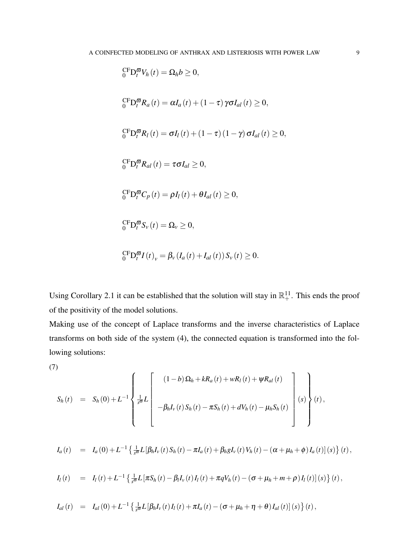$\sim$ 

$$
{}_{0}^{CF}D_{t}^{\varpi}V_{h}(t) = \Omega_{h}b \geq 0,
$$
  
\n
$$
{}_{0}^{CF}D_{t}^{\varpi}R_{a}(t) = \alpha I_{a}(t) + (1 - \tau)\gamma\sigma I_{al}(t) \geq 0,
$$
  
\n
$$
{}_{0}^{CF}D_{t}^{\varpi}R_{l}(t) = \sigma I_{l}(t) + (1 - \tau)(1 - \gamma)\sigma I_{al}(t) \geq 0,
$$
  
\n
$$
{}_{0}^{CF}D_{t}^{\varpi}R_{al}(t) = \tau\sigma I_{al} \geq 0,
$$
  
\n
$$
{}_{0}^{CF}D_{t}^{\varpi}C_{p}(t) = \rho I_{l}(t) + \theta I_{al}(t) \geq 0,
$$
  
\n
$$
{}_{0}^{CF}D_{t}^{\varpi}S_{v}(t) = \Omega_{v} \geq 0,
$$
  
\n
$$
{}_{0}^{CF}D_{t}^{\varpi}I(t)_{v} = \beta_{v}(I_{a}(t) + I_{al}(t))S_{v}(t) \geq 0.
$$

Using Corollary [2.1](#page-4-1) it can be established that the solution will stay in  $\mathbb{R}^{11}_+$ . This ends the proof of the positivity of the model solutions.

Making use of the concept of Laplace transforms and the inverse characteristics of Laplace transforms on both side of the system [\(4\)](#page-6-0), the connected equation is transformed into the following solutions:

(7)

<span id="page-8-0"></span>
$$
S_h(t) = S_h(0) + L^{-1} \left\{ \frac{1}{s^{\overline{\omega}}} L \left[ \begin{array}{c} (1-b) \Omega_h + kR_a(t) + wR_l(t) + \psi R_{al}(t) \\ -\beta_h I_v(t) S_h(t) - \pi S_h(t) + dV_h(t) - \mu_h S_h(t) \end{array} \right] (s) \right\} (t),
$$

$$
I_a(t) = I_a(0) + L^{-1} \left\{ \frac{1}{s^{\sigma}} L[\beta_h I_v(t) S_h(t) - \pi I_a(t) + \beta_h g I_v(t) V_h(t) - (\alpha + \mu_h + \phi) I_a(t)](s) \right\}(t),
$$

$$
I_{l}(t) = I_{l}(t) + L^{-1}\left\{\frac{1}{s^{\sigma}}L\left[\pi S_{h}(t) - \beta_{l}I_{v}(t)I_{l}(t) + \pi qV_{h}(t) - (\sigma + \mu_{h} + m + \rho)I_{l}(t)\right](s)\right\}(t),
$$

$$
I_{al}(t) = I_{al}(0) + L^{-1} \left\{ \frac{1}{s^{\sigma}} L[\beta_h I_v(t) I_l(t) + \pi I_a(t) - (\sigma + \mu_h + \eta + \theta) I_{al}(t)](s) \right\}(t),
$$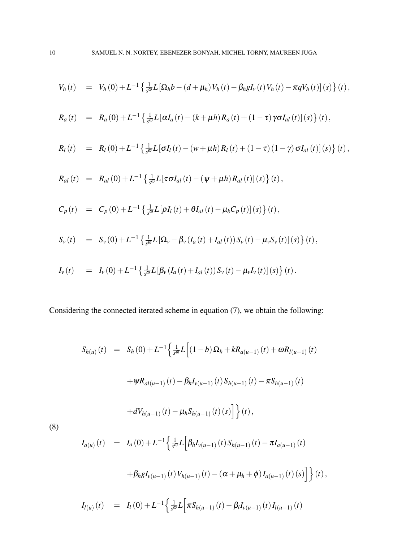$$
V_h(t) = V_h(0) + L^{-1} \left\{ \frac{1}{s^{\sigma}} L \left[ \Omega_h b - (d + \mu_h) V_h(t) - \beta_h g I_v(t) V_h(t) - \pi q V_h(t) \right] (s) \right\}(t),
$$
  
\n
$$
R_a(t) = R_a(0) + L^{-1} \left\{ \frac{1}{s^{\sigma}} L \left[ \alpha I_a(t) - (k + \mu h) R_a(t) + (1 - \tau) \gamma \sigma I_{al}(t) \right] (s) \right\}(t),
$$
  
\n
$$
R_l(t) = R_l(0) + L^{-1} \left\{ \frac{1}{s^{\sigma}} L \left[ \sigma I_l(t) - (w + \mu h) R_l(t) + (1 - \tau) (1 - \gamma) \sigma I_{al}(t) \right] (s) \right\}(t),
$$
  
\n
$$
R_{al}(t) = R_{al}(0) + L^{-1} \left\{ \frac{1}{s^{\sigma}} L \left[ \tau \sigma I_{al}(t) - (\psi + \mu h) R_{al}(t) \right] (s) \right\}(t),
$$
  
\n
$$
C_p(t) = C_p(0) + L^{-1} \left\{ \frac{1}{s^{\sigma}} L \left[ \rho I_l(t) + \theta I_{al}(t) - \mu_b C_p(t) \right] (s) \right\}(t),
$$
  
\n
$$
S_v(t) = S_v(0) + L^{-1} \left\{ \frac{1}{s^{\sigma}} L \left[ \Omega_v - \beta_v (I_a(t) + I_{al}(t)) S_v(t) - \mu_v S_v(t) \right] (s) \right\}(t),
$$
  
\n
$$
I_v(t) = I_v(0) + L^{-1} \left\{ \frac{1}{s^{\sigma}} L \left[ \beta_v (I_a(t) + I_{al}(t)) S_v(t) - \mu_v I_v(t) \right] (s) \right\}(t).
$$

<span id="page-9-0"></span>Considering the connected iterated scheme in equation [\(7\)](#page-8-0), we obtain the following:

$$
S_{h(u)}(t) = S_h(0) + L^{-1} \Biggl\{ \frac{1}{s^{\overline{\omega}}} L \Biggl[ (1-b) \Omega_h + k R_{a(u-1)}(t) + \omega R_{l(u-1)}(t) \Biggr]
$$
  
+  $\psi R_{al(u-1)}(t) - \beta_h I_{v(u-1)}(t) S_{h(u-1)}(t) - \pi S_{h(u-1)}(t)$   
+  $dV_{h(u-1)}(t) - \mu_h S_{h(u-1)}(t) (s) \Biggr] \Biggr\} (t),$   

$$
I_{a(u)}(t) = I_a(0) + L^{-1} \Biggl\{ \frac{1}{s^{\overline{\omega}}} L \Biggl[ \beta_h I_{v(u-1)}(t) S_{h(u-1)}(t) - \pi I_{a(u-1)}(t) \Biggr]
$$

$$
\left( \text{8}\right)
$$

$$
+\beta_h g I_{\nu(u-1)}(t) V_{h(u-1)}(t) - (\alpha + \mu_h + \phi) I_{a(u-1)}(t) (s) \Big] \Big\} (t) ,
$$

$$
I_{l(u)}(t) = I_{l}(0) + L^{-1} \Biggl\{ \frac{1}{s^{\varpi}} L \Biggl[ \pi S_{h(u-1)}(t) - \beta_l I_{v(u-1)}(t) I_{l(u-1)}(t) \Biggr]
$$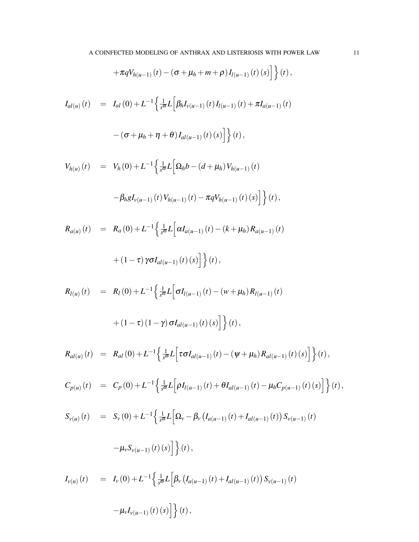$$
+\pi qV_{h(u-1)}(t) - (\sigma + \mu_h + m + \rho)I_{l(u-1)}(t)(s)]\Big\}(t),
$$

$$
I_{al(u)}(t) = I_{al}(0) + L^{-1} \Big\{ \frac{1}{s^{\varpi}} L \Big[ \beta_h I_{v(u-1)}(t) I_{l(u-1)}(t) + \pi I_{a(u-1)}(t) - (\sigma + \mu_h + \eta + \theta) I_{al(u-1)}(t)(s) \Big] \Big\}(t),
$$

$$
V_{h(u)}(t) = V_h(0) + L^{-1} \Big\{ \frac{1}{s^{\sigma}} L \Big[ \Omega_h b - (d + \mu_h) V_{h(u-1)}(t) \Big]
$$

$$
-\beta_h g I_{v(u-1)}(t) V_{h(u-1)}(t) - \pi q V_{h(u-1)}(t) (s) \Big] \Big\} (t) \, ,
$$

$$
R_{a(u)}(t) = R_a(0) + L^{-1} \left\{ \frac{1}{s^{\varpi}} L \left[ \alpha I_{a(u-1)}(t) - (k + \mu_h) R_{a(u-1)}(t) \right. \right.+ (1 - \tau) \gamma \sigma I_{al(u-1)}(t) (s) \right\}(t),
$$

$$
R_{l(u)}(t) = R_{l}(0) + L^{-1} \Big\{ \frac{1}{s^{\varpi}} L \Big[ \sigma I_{l(u-1)}(t) - (w + \mu_{h}) R_{l(u-1)}(t) + (1 - \tau) (1 - \gamma) \sigma I_{al(u-1)}(t) (s) \Big] \Big\}(t),
$$

$$
R_{al(u)}(t) = R_{al}(0) + L^{-1} \left\{ \frac{1}{s^{\overline{\omega}}} L \left[ \tau \sigma I_{al(u-1)}(t) - (\psi + \mu_h) R_{al(u-1)}(t) (s) \right] \right\}(t),
$$

$$
C_{p(u)}(t) = C_p(0) + L^{-1} \left\{ \frac{1}{s^{\sigma}} L \left[ \rho I_{l(u-1)}(t) + \theta I_{al(u-1)}(t) - \mu_b C_{p(u-1)}(t) \right] \right\}(t),
$$

$$
S_{\nu(u)}(t) = S_{\nu}(0) + L^{-1} \left\{ \frac{1}{s^{\omega}} L \left[ \Omega_{\nu} - \beta_{\nu} \left( I_{a(u-1)}(t) + I_{al(u-1)}(t) \right) S_{\nu(u-1)}(t) \right] \right\}
$$
  

$$
- \mu_{\nu} S_{\nu(u-1)}(t) (s) \right\} (t),
$$
  

$$
I_{\nu(u)}(t) = I_{\nu}(0) + L^{-1} \left\{ \frac{1}{s^{\omega}} L \left[ \beta_{\nu} \left( I_{a(u-1)}(t) + I_{al(u-1)}(t) \right) S_{\nu(u-1)}(t) \right] \right\}
$$
  

$$
- \mu_{\nu} I_{\nu(u-1)}(t) (s) \right\} (t),
$$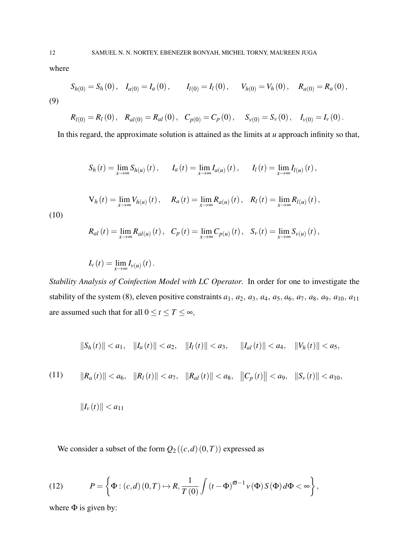where

(9) 
$$
S_{h(0)} = S_h(0), \quad I_{a(0)} = I_a(0), \qquad I_{l(0)} = I_l(0), \qquad V_{h(0)} = V_h(0), \qquad R_{a(0)} = R_a(0),
$$

$$
R_{l(0)} = R_l(0), \quad R_{al(0)} = R_{al}(0), \quad C_{p(0)} = C_p(0), \quad S_{\nu(0)} = S_{\nu}(0), \quad I_{\nu(0)} = I_{\nu}(0).
$$

In this regard, the approximate solution is attained as the limits at *u* approach infinity so that,

(10) 
$$
S_h(t) = \lim_{x \to \infty} S_{h(u)}(t), \qquad I_a(t) = \lim_{x \to \infty} I_{a(u)}(t), \qquad I_l(t) = \lim_{x \to \infty} I_{l(u)}(t),
$$

$$
V_h(t) = \lim_{x \to \infty} V_{h(u)}(t), \qquad R_a(t) = \lim_{x \to \infty} R_{a(u)}(t), \qquad R_l(t) = \lim_{x \to \infty} R_{l(u)}(t),
$$

$$
P_h(t) = \lim_{x \to \infty} P_{h(u)}(t) = \lim_{x \to \infty} R_{a(u)}(t) = \lim_{x \to \infty} R_{l(u)}(t),
$$

$$
R_{al}(t) = \lim_{x \to \infty} R_{al(u)}(t), \quad C_p(t) = \lim_{x \to \infty} C_{p(u)}(t), \quad S_v(t) = \lim_{x \to \infty} S_{v(u)}(t),
$$

$$
I_{\nu}(t)=\lim_{x\to\infty}I_{\nu(u)}(t).
$$

*Stability Analysis of Coinfection Model with LC Operator.* In order for one to investigate the stability of the system [\(8\)](#page-9-0), eleven positive constraints  $a_1$ ,  $a_2$ ,  $a_3$ ,  $a_4$ ,  $a_5$ ,  $a_6$ ,  $a_7$ ,  $a_8$ ,  $a_9$ ,  $a_{10}$ ,  $a_{11}$ are assumed such that for all  $0 \le t \le T \le \infty$ ,

$$
||S_h(t)|| < a_1, \quad ||I_a(t)|| < a_2, \quad ||I_l(t)|| < a_3, \quad ||I_{al}(t)|| < a_4, \quad ||V_h(t)|| < a_5,
$$

$$
(11) \t ||R_a(t)|| < a_6, \t ||R_l(t)|| < a_7, \t ||R_{al}(t)|| < a_8, \t ||C_p(t)|| < a_9, \t ||S_v(t)|| < a_{10},
$$

$$
||I_{\nu}(t)|| < a_{11}
$$

We consider a subset of the form  $Q_2\left(\left(c,d\right)\left(0,T\right)\right)$  expressed as

(12) 
$$
P = \left\{ \Phi : (c,d)(0,T) \mapsto R, \frac{1}{T(0)} \int (t - \Phi)^{\varpi - 1} v(\Phi) S(\Phi) d\Phi < \infty \right\},
$$

where  $\Phi$  is given by: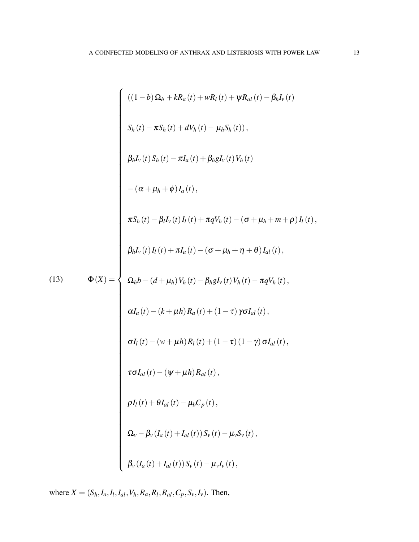$$
\begin{cases}\n((1-b)\Omega_h + kR_a(t) + wR_l(t) + \psi R_{al}(t) - \beta_h I_v(t) \\
S_h(t) - \pi S_h(t) + dV_h(t) - \mu_h S_h(t)), \\
\beta_h I_v(t) S_h(t) - \pi I_a(t) + \beta_h g I_v(t) V_h(t) \\
-(\alpha + \mu_h + \phi) I_a(t), \\
\pi S_h(t) - \beta_l I_v(t) I_l(t) + \pi q V_h(t) - (\sigma + \mu_h + m + \rho) I_l(t), \\
\beta_h I_v(t) I_l(t) + \pi I_a(t) - (\sigma + \mu_h + \eta + \theta) I_{al}(t), \\
\beta_h I_v(t) I_l(t) + \pi I_a(t) - (\sigma + \mu_h + \eta + \theta) I_{al}(t), \\
\alpha I_a(t) - (k + \mu_h) R_h(t) + (1 - \tau) \gamma \sigma I_{al}(t), \\
\sigma I_l(t) - (w + \mu h) R_h(t) + (1 - \tau) (1 - \gamma) \sigma I_{al}(t), \\
\tau \sigma I_{al}(t) - (\psi + \mu h) R_h(t), \\
\beta I_l(t) + \theta I_{al}(t) - \mu_b C_p(t), \\
\beta V_l(t) + \theta I_{al}(t) S_v(t) - \mu_v I_v(t), \\
\beta V_l(t) + I_{al}(t) S_v(t) - \mu_v I_v(t),\n\end{cases}
$$

where  $X = (S_h, I_a, I_l, I_{al}, V_h, R_a, R_l, R_{al}, C_p, S_v, I_v)$ . Then,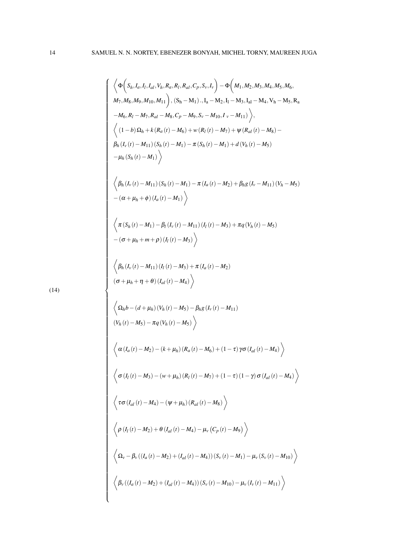$$
\begin{pmatrix}\n\left\langle \Phi\left(S_{h, I_{\alpha}, I_{1}, I_{\alpha |}, V_{h}, R_{\alpha}, R_{1}, R_{\alpha |}, C_{p}, S_{v}, I_{v}\right) - \Phi\left(M_{1, M_{2}, M_{3}, M_{4}, M_{5}, M_{6}, M_{7, M_{8}, M_{9}, M_{10}, M_{11}\right), (S_{h} - M_{1}), I_{a} - M_{2}, I_{1} - M_{3}, I_{a1} - M_{4}, V_{h} - M_{5}, R_{a} - M_{6}, R_{l} - M_{7}, R_{a l} - M_{8}, C_{p} - M_{9}, S_{v} - M_{10}, I_{v} - M_{11})\right\rangle, \\
\left\langle (1 - b) \Omega_{h} + k (R_{\alpha} (t) - M_{6}) + w (R_{l} (t) - M_{7}) + \psi (R_{\alpha l} (t) - M_{8}) - \frac{\beta_{h} (I_{v} (t) - M_{11}) (S_{h} (t) - M_{1}) - \pi (S_{h} (t) - M_{11}) + d (V_{h} (t) - M_{5})}{\beta_{h} (I_{v} (t) - M_{11}) (S_{h} (t) - M_{11}) - \pi (I_{a} (t) - M_{2}) + \beta_{h} g (I_{v} - M_{11}) (V_{h} - M_{5})\right\rangle\right\rangle \\
\left\langle \beta_{h} (I_{v} (t) - M_{11}) (S_{h} (t) - M_{11}) - \pi (I_{a} (t) - M_{2}) + \beta_{h} g (I_{v} - M_{11}) (V_{h} - M_{5})\right\rangle \\
\left\langle \alpha (I_{v} (t) - M_{11}) - \beta_{l} (I_{v} (t) - M_{11}) (I_{l} (t) - M_{3}) + \pi q (V_{h} (t) - M_{5})\right\rangle \\
\left\langle \alpha (I_{v} (t) - M_{11}) (I_{l} (t) - M_{3}) + \pi (I_{a} (t) - M_{2})\right\rangle \\
\left\langle \alpha (I_{v} (t) - M_{11}) (I_{l} (t) - M_{5}) - \beta_{h} g (I_{v} (t) - M_{11})\right\rangle \\
\left\langle \alpha (I_{v} (t) - M_{5}) - \pi q (V_{h} (t) - M_{5})\right\r
$$

(14)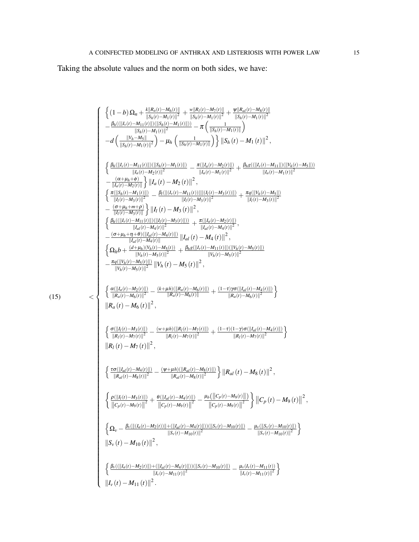Taking the absolute values and the norm on both sides, we have:

$$
\left\{\begin{array}{l} \left\{\frac{(1-b)\,\Omega_{n}+k[\,R_{c}(t)-M_{5}(t)]}{|\beta_{1}(t)-M_{1}(t)|}\right\}+\frac{w||R_{c}(t)-M_{1}(t)||^{2}}{|\beta_{2}(t)-M_{1}(t)||^{2}}-\frac{B_{b}((\|L_{c}(t)-M_{1}(t)||^{2})}{|\beta_{3}(t)-M_{1}(t)||^{2}}-\frac{B_{b}((\|L_{c}(t)-M_{1}(t)||^{2})}{|\beta_{2}(t)-M_{1}(t)|^{2}}\right)\\-\frac{B_{b}((\|L_{c}(t)-M_{1}(t)||^{2})}{|\beta_{2}(t)-M_{1}(t)|^{2}}\right)-\mu_{h}\left(\frac{B_{b}((\|L_{c}(t)-M_{1}(t)||^{2})}{|\beta_{2}(t)-M_{1}(t)|^{2}}\right)+\frac{B_{b}g((\|L_{c}(t)-M_{1}(t)||^{2})}{|\beta_{4}(t)-M_{1}(t)|^{2}}\\-\frac{(e+\mu_{h}+b)}{|\beta_{4}(t)-M_{2}(t)|^{2}}\right\}\\+\frac{2}{\left[\frac{R_{b}(\|L_{c}(t)-M_{1}(t)||^{2})}{|\beta_{4}(t)-M_{2}(t)||^{2}}\right]\left\{\frac{B_{b}((\|L_{c}(t)-M_{1}(t)||^{2})}{|\beta_{4}(t)-M_{2}(t)||^{2}},\frac{B_{b}((\|L_{c}(t)-M_{1}(t)||^{2})}{|\beta_{4}(t)-M_{3}(t)|^{2}}\right\}\\-\frac{(e+\mu_{h}+b)}{|\beta_{4}(t)-M_{3}(t)||^{2}}\right\}\\+\frac{2}{\left[\frac{R_{b}((\|L_{c}(t)-M_{1}(t)||^{2})}{|\beta_{4}(t)-M_{3}(t)||^{2}}\right]\left\{\frac{B_{b}((\|L_{c}(t)-M_{1}(t)||^{2})}{|\beta_{4}(t)-M_{2}(t)||^{2}},\frac{B_{b}((\|L_{c}(t)-M_{2}(t)||^{2})}{|\beta_{4}(t)-M_{3}(t)||^{2}},\frac{B_{b}((\|L_{c}(t)-M_{2}(t)||^{2})}{|\beta_{4}(t)-M_{4}(t)||^{2}},\frac{B_{b}((\|L_{c}(t)-M_{2}(t)||^{2})}{|\beta_{4}(t)-M_{4}(t)||^{2}},\frac{B_{b
$$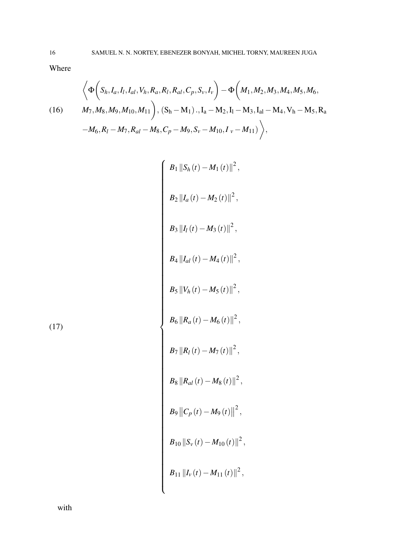<span id="page-15-1"></span>Where

$$
\left\langle \Phi\big(S_h, I_a, I_l, I_{al}, V_h, R_a, R_l, R_{al}, C_p, S_v, I_v \big) - \Phi\big(M_1, M_2, M_3, M_4, M_5, M_6, M_7, M_8, M_9, M_{10}, M_{11} \big), (S_h - M_1) \dots, I_a - M_2, I_l - M_3, I_{al} - M_4, V_h - M_5, R_a - M_6, R_l - M_7, R_{al} - M_8, C_p - M_9, S_v - M_{10}, I_v - M_{11}) \right\rangle,
$$

$$
\begin{cases}\nB_1 \|S_h(t) - M_1(t)\|^2, \\
B_2 \|I_a(t) - M_2(t)\|^2, \\
B_3 \|I_l(t) - M_3(t)\|^2, \\
B_4 \|I_{al}(t) - M_4(t)\|^2, \\
B_5 \|V_h(t) - M_5(t)\|^2, \\
B_6 \|R_a(t) - M_6(t)\|^2, \\
B_7 \|R_l(t) - M_7(t)\|^2, \\
B_8 \|R_{al}(t) - M_8(t)\|^2, \\
B_9 \|C_p(t) - M_9(t)\|^2, \\
B_{10} \|S_v(t) - M_{10}(t)\|^2, \\
B_{11} \|I_v(t) - M_{11}(t)\|^2,\n\end{cases}
$$

(17)

<span id="page-15-0"></span>with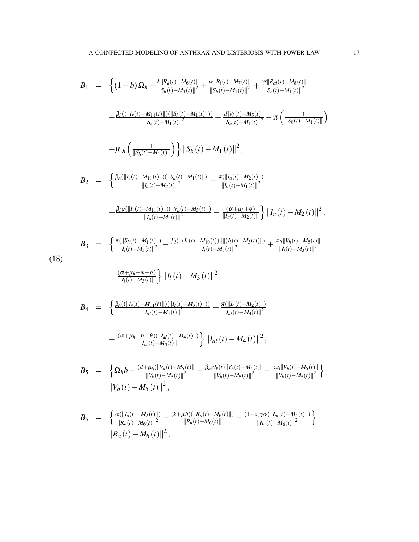$$
B_{1} = \left\{ (1-b) \Omega_{h} + \frac{k||R_{a}(t) - M_{6}(t)||}{||S_{h}(t) - M_{1}(t)||^{2}} + \frac{w||R_{I}(t) - M_{7}(t)||}{||S_{h}(t) - M_{1}(t)||^{2}} + \frac{w||R_{a}(t) - M_{8}(t)||}{||S_{h}(t) - M_{1}(t)||^{2}} \right\}
$$
\n
$$
- \frac{\beta_{h}((||L_{v}(t) - M_{11}(t)||)(||S_{h}(t) - M_{1}(t)||))}{||S_{h}(t) - M_{1}(t)||^{2}} + \frac{d|V_{h}(t) - M_{5}(t)|}{||S_{h}(t) - M_{1}(t)||^{2}} - \pi \left( \frac{1}{||S_{h}(t) - M_{1}(t)||} \right)
$$
\n
$$
- \mu_{h} \left( \frac{1}{||S_{h}(t) - M_{1}(t)||} \right) \left\{ ||S_{h}(t) - M_{1}(t)||^{2}, \right.
$$
\n
$$
B_{2} = \left\{ \frac{\beta_{h}(||L_{v}(t) - M_{11}(t)||)(||S_{h}(t) - M_{1}(t)||)}{||L_{a}(t) - M_{2}(t)||^{2}} - \frac{\pi(||L_{a}(t) - M_{2}(t)||)}{||L_{a}(t) - M_{1}(t)||^{2}} + \frac{\beta_{h}g(||L_{v}(t) - M_{11}(t)||)(||V_{h}(t) - M_{5}(t)||)}{||L_{a}(t) - M_{1}(t)||^{2}} - \frac{(\alpha + \mu_{h} + \phi)}{||L_{a}(t) - M_{2}(t)||} \right\} ||I_{a}(t) - M_{2}(t)||^{2},
$$
\n
$$
B_{3} = \left\{ \frac{\pi(||S_{h}(t) - M_{1}(t)||)}{||L_{a}(t) - M_{1}(t)||^{2}} - \frac{\beta_{f}(||(L_{v}(t) - M_{10}(t))||||(L_{l}(t) - M_{3}(t)||)}{||L_{l}(t) - M_{3}(t)||^{2}} + \frac{\pi_{q}||V_{h}(t) - M_{5}(t)||}{||L_{l}(t) - M_{3}(t)||^{2}} \right\}
$$
\n(18)\n
$$
(18)
$$

$$
-\frac{(\sigma+\mu_h+m+\rho)}{\Vert I_l(t)-M_3(t)\Vert}\bigg\}\,\Vert I_l\left(t\right)-M_3\left(t\right)\Vert^2,
$$

$$
B_4 = \left\{ \frac{\beta_h((\|I_v(t) - M_{11}(t)\|)(\|I_l(t) - M_3(t)\|))}{\|I_{al}(t) - M_4(t)\|^2} + \frac{\pi(\|I_a(t) - M_2(t)\|)}{\|I_{al}(t) - M_4(t)\|^2} \right\}
$$

$$
-\frac{(\sigma + \mu_h + \eta + \theta)(\|I_{al}(t) - M_4(t)\|)}{\|I_{al}(t) - M_4(t)\|^2} \right\} \left\|I_{al}(t) - M_4(t)\right\|^2,
$$

$$
B_5 = \left\{ \Omega_h b - \frac{(d + \mu_h) ||V_h(t) - M_5(t)||}{||V_h(t) - M_5(t)||^2} - \frac{\beta_h g I_v(t) ||V_h(t) - M_5(t)||}{||V_h(t) - M_5(t)||^2} - \frac{\pi_q ||V_h(t) - M_5(t)||}{||V_h(t) - M_5(t)||^2} \right\}
$$
  

$$
||V_h(t) - M_5(t)||^2,
$$

$$
B_6 = \left\{ \frac{\alpha(\|I_a(t) - M_2(t)\|)}{\|R_a(t) - M_6(t)\|^2} - \frac{(k + \mu h)(\|R_a(t) - M_6(t)\|)}{\|R_a(t) - M_6(t)\|} + \frac{(1 - \tau)\gamma\sigma(\|I_{al}(t) - M_4(t)\|)}{\|R_a(t) - M_6(t)\|^2} \right\}
$$
  

$$
\left\| R_a(t) - M_6(t) \right\|^2,
$$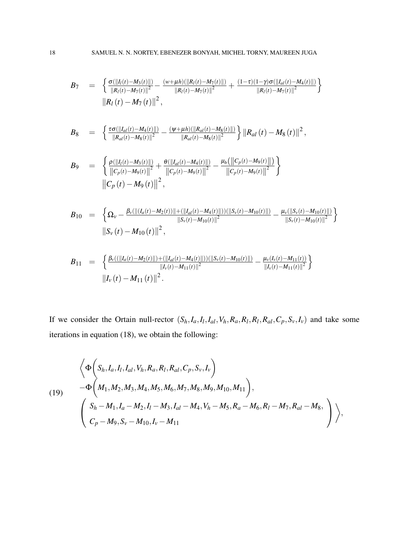$$
B_7 = \left\{ \frac{\sigma(\|I_l(t) - M_3(t)\|)}{\|R_l(t) - M_7(t)\|^2} - \frac{(w + \mu h)(\|R_l(t) - M_7(t)\|)}{\|R_l(t) - M_7(t)\|^2} + \frac{(1 - \tau)(1 - \gamma)\sigma(\|I_{al}(t) - M_4(t)\|)}{\|R_l(t) - M_7(t)\|^2} \right\}
$$
  

$$
\left\| R_l(t) - M_7(t) \right\|^2,
$$

$$
B_8 = \left\{ \frac{\tau \sigma(||I_{al}(t) - M_4(t)||)}{||R_{al}(t) - M_8(t)||^2} - \frac{(\psi + \mu h)(||R_{al}(t) - M_8(t)||)}{||R_{al}(t) - M_8(t)||^2} \right\} ||R_{al}(t) - M_8(t)||^2,
$$

$$
B_9 = \left\{ \frac{\rho(||I_l(t) - M_3(t)||)}{||C_p(t) - M_9(t)||^2} + \frac{\theta(||I_{al}(t) - M_4(t)||)}{||C_p(t) - M_9(t)||^2} - \frac{\mu_b(||C_p(t) - M_9(t)||)}{||C_p(t) - M_9(t)||^2} \right\}
$$
  

$$
||C_p(t) - M_9(t)||^2,
$$

$$
B_{10} = \left\{ \Omega_{\nu} - \frac{\beta_{\nu}(\| (I_a(t) - M_2(t)) \| + (\|I_{al}(t) - M_4(t) \|))(\|S_{\nu}(t) - M_{10}(t) \|)}{\|S_{\nu}(t) - M_{10}(t)\|^2} - \frac{\mu_{\nu}(\|S_{\nu}(t) - M_{10}(t) \|)}{\|S_{\nu}(t) - M_{10}(t)\|^2} \right\}
$$
  

$$
\left\| S_{\nu}(t) - M_{10}(t) \right\|^2,
$$

$$
B_{11} = \left\{ \frac{\beta_{\nu}((\|I_a(t) - M_2(t)\|) + (\|I_{a1}(t) - M_4(t)\|))(\|S_{\nu}(t) - M_{10}(t)\|)}{\|I_{\nu}(t) - M_{11}(t)\|^2} - \frac{\mu_{\nu}(I_{\nu}(t) - M_{11}(t))}{\|I_{\nu}(t) - M_{11}(t)\|^2} \right\}
$$
  

$$
\left\|I_{\nu}(t) - M_{11}(t)\right\|^2.
$$

<span id="page-17-0"></span>If we consider the Ortain null-rector  $(S_h, I_a, I_l, I_{al}, V_h, R_a, R_l, R_l, R_{al}, C_p, S_v, I_v)$  and take some iterations in equation [\(18\)](#page-15-0), we obtain the following:

$$
\left\langle \Phi\bigg(S_h, I_a, I_l, I_{al}, V_h, R_a, R_l, R_{al}, C_p, S_v, I_v\bigg) - \Phi\bigg(M_1, M_2, M_3, M_4, M_5, M_6, M_7, M_8, M_9, M_{10}, M_{11}\bigg),
$$
\n
$$
\left(\begin{array}{c} S_h - M_1, I_a - M_2, I_l - M_3, I_{al} - M_4, V_h - M_5, R_a - M_6, R_l - M_7, R_{al} - M_8, \\ C_p - M_9, S_v - M_{10}, I_v - M_{11} \end{array}\right)\right\rangle,
$$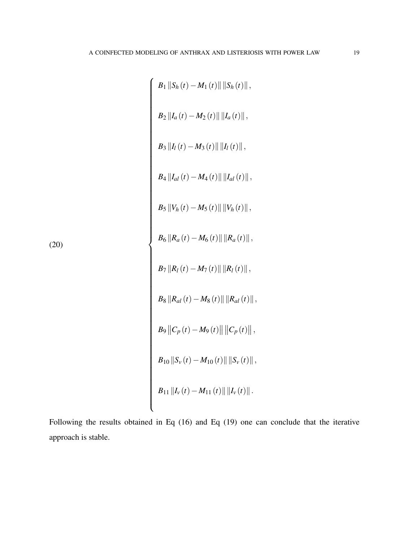$$
B_1 || S_h(t) - M_1(t) || || S_h(t) ||,
$$
  
\n
$$
B_2 || I_a(t) - M_2(t) || || I_a(t) ||,
$$
  
\n
$$
B_3 || I_l(t) - M_3(t) || || I_l(t) ||,
$$
  
\n
$$
B_4 || I_{al}(t) - M_4(t) || || I_{al}(t) ||,
$$
  
\n
$$
B_5 || V_h(t) - M_5(t) || || V_h(t) ||,
$$
  
\n
$$
B_6 || R_a(t) - M_6(t) || || R_a(t) ||,
$$
  
\n
$$
B_7 || R_l(t) - M_7(t) || || R_l(t) ||,
$$
  
\n
$$
B_8 || R_{al}(t) - M_8(t) || || R_{al}(t) ||,
$$
  
\n
$$
B_9 || C_p(t) - M_9(t) || || C_p(t) ||,
$$
  
\n
$$
B_{10} || S_v(t) - M_{10}(t) || || S_v(t) ||,
$$
  
\n
$$
B_{11} || I_v(t) - M_{11}(t) || || I_v(t) ||.
$$

Following the results obtained in Eq [\(16\)](#page-15-1) and Eq [\(19\)](#page-17-0) one can conclude that the iterative approach is stable.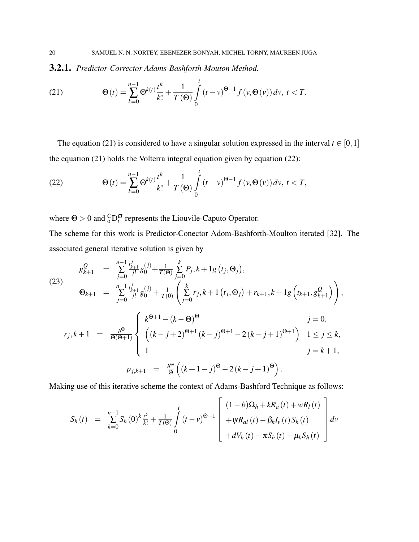<span id="page-19-0"></span>3.2.1. *Predictor-Corrector Adams-Bashforth-Mouton Method.*

(21) 
$$
\Theta(t) = \sum_{k=0}^{n-1} \Theta^{k(t)} \frac{t^k}{k!} + \frac{1}{T(\Theta)} \int_{0}^{t} (t-v)^{\Theta-1} f(v, \Theta(v)) dv, t < T.
$$

<span id="page-19-1"></span>The equation [\(21\)](#page-19-0) is considered to have a singular solution expressed in the interval  $t \in [0,1]$ the equation [\(21\)](#page-19-0) holds the Volterra integral equation given by equation [\(22\)](#page-19-1):

(22) 
$$
\Theta(t) = \sum_{k=0}^{n-1} \Theta^{k(t)} \frac{t^k}{k!} + \frac{1}{T(\Theta)} \int_{0}^{t} (t-v)^{\Theta-1} f(v, \Theta(v)) dv, t < T,
$$

where  $\Theta > 0$  and  ${}_{0}^{C}D_{t}^{\varpi}$  represents the Liouvile-Caputo Operator.

The scheme for this work is Predictor-Conector Adom-Bashforth-Moulton iterated [\[32\]](#page-39-13). The associated general iterative solution is given by

(23)  
\n
$$
g_{k+1}^{Q} = \sum_{j=0}^{n-1} \frac{t_{k+1}^{j}}{j!} g_0^{(j)} + \frac{1}{T(\Theta)} \sum_{j=0}^{k} P_j, k+1 g(t_j, \Theta_j),
$$
\n
$$
\Theta_{k+1} = \sum_{j=0}^{n-1} \frac{t_{k+1}^{j}}{j!} g_0^{(j)} + \frac{1}{T(0)} \left( \sum_{j=0}^{k} r_j, k+1 (t_j, \Theta_j) + r_{k+1}, k+1 g(t_{k+1}, g_{k+1}^{Q}) \right),
$$
\n
$$
r_j, k+1 = \frac{h^{\Theta}}{\Theta(\Theta+1)} \begin{cases} k^{\Theta+1} - (k-\Theta)^{\Theta} & j=0, \\ \left( (k-j+2)^{\Theta+1} (k-j)^{\Theta+1} - 2 (k-j+1)^{\Theta+1} \right) & 1 \le j \le k, \\ 1 & j=k+1, \end{cases}
$$
\n
$$
p_{j,k+1} = \frac{h^{\Theta}}{\Theta} \left( (k+1-j)^{\Theta} - 2 (k-j+1)^{\Theta} \right).
$$

Making use of this iterative scheme the context of Adams-Bashford Technique as follows:

$$
S_h(t) = \sum_{k=0}^{n-1} S_h(0)^k \frac{t^k}{k!} + \frac{1}{T(\Theta)} \int_0^t (t-v)^{\Theta-1} \begin{bmatrix} (1-b)\Omega_h + kR_a(t) + wR_l(t) \\ + \psi R_{al}(t) - \beta_h I_v(t) S_h(t) \\ + dV_h(t) - \pi S_h(t) - \mu_h S_h(t) \end{bmatrix} dv
$$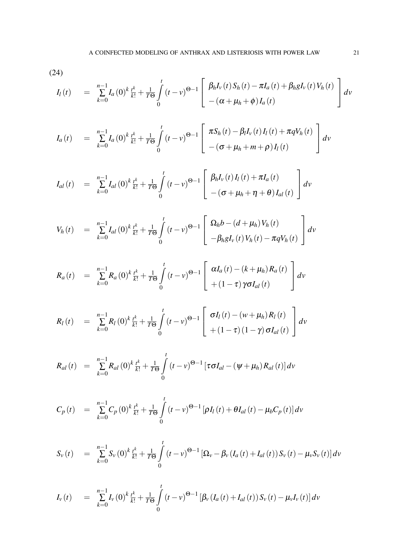$$
I_{l}(t) = \sum_{k=0}^{n-1} I_{a}(0)^{k} \frac{t^{k}}{k!} + \frac{1}{T\Theta} \int_{0}^{t} (t-v)^{\Theta-1} \left[ \frac{\beta_{h} I_{v}(t) S_{h}(t) - \pi I_{a}(t) + \beta_{h} g I_{v}(t) V_{h}(t)}{-(\alpha + \mu_{h} + \phi) I_{a}(t)} \right] dv
$$

$$
I_a(t) = \sum_{k=0}^{n-1} I_a(0)^k \frac{t^k}{k!} + \frac{1}{T\Theta} \int_0^t (t-v)^{\Theta-1} \left[ \pi S_h(t) - \beta_l I_v(t) I_l(t) + \pi q V_h(t) \right] dv
$$

$$
I_{al}(t) = \sum_{k=0}^{n-1} I_{al}(0)^k \frac{t^k}{k!} + \frac{1}{T\Theta} \int_{0}^{t} (t-v)^{\Theta-1} \left[ \frac{\beta_h I_v(t) I_l(t) + \pi I_a(t)}{-(\sigma + \mu_h + \eta + \theta) I_{al}(t)} \right] dv
$$

$$
V_h(t) = \sum_{k=0}^{n-1} I_{al}(0)^k \frac{t^k}{k!} + \frac{1}{T\Theta} \int_0^t (t-v)^{\Theta-1} \left[ \begin{array}{c} \Omega_h b - (d+\mu_h) V_h(t) \\ -\beta_h g I_v(t) V_h(t) - \pi q V_h(t) \end{array} \right] dv
$$

$$
R_a(t) = \sum_{k=0}^{n-1} R_a(0)^k \frac{t^k}{k!} + \frac{1}{T\Theta} \int_0^t (t-v)^{\Theta-1} \left[ \frac{\alpha I_a(t) - (k+\mu_h)R_a(t)}{+(1-\tau)\gamma \sigma I_{al}(t)} \right] dv
$$

$$
R_{l}(t) = \sum_{k=0}^{n-1} R_{l}(0)^{k} \frac{t^{k}}{k!} + \frac{1}{T\Theta} \int_{0}^{t} (t-v)^{\Theta-1} \left[ \frac{\sigma I_{l}(t) - (w + \mu_{h}) R_{l}(t)}{+(1-\tau)(1-\gamma) \sigma I_{al}(t)} \right] dv
$$

$$
R_{al}(t) = \sum_{k=0}^{n-1} R_{al}(0)^k \frac{t^k}{k!} + \frac{1}{T\Theta} \int_{0}^{t} (t-v)^{\Theta-1} \left[ \tau \sigma I_{al} - (\psi + \mu_h) R_{al}(t) \right] dv
$$

$$
C_p(t) = \sum_{k=0}^{n-1} C_p(0)^k \frac{t^k}{k!} + \frac{1}{T\Theta} \int_0^t (t-v)^{\Theta-1} \left[ \rho I_l(t) + \theta I_{al}(t) - \mu_b C_p(t) \right] dv
$$

$$
S_{\nu}(t) = \sum_{k=0}^{n-1} S_{\nu}(0)^{k} \frac{t^{k}}{k!} + \frac{1}{T\Theta} \int_{0}^{t} (t-\nu)^{\Theta-1} \left[ \Omega_{\nu} - \beta_{\nu} (I_{a}(t) + I_{al}(t)) S_{\nu}(t) - \mu_{\nu} S_{\nu}(t) \right] dv
$$

$$
I_{\nu}(t) = \sum_{k=0}^{n-1} I_{\nu}(0)^{k} \frac{t^{k}}{k!} + \frac{1}{T\Theta} \int_{0}^{t} (t-\nu)^{\Theta-1} \left[ \beta_{\nu} (I_{a}(t) + I_{al}(t)) S_{\nu}(t) - \mu_{\nu} I_{\nu}(t) \right] dv
$$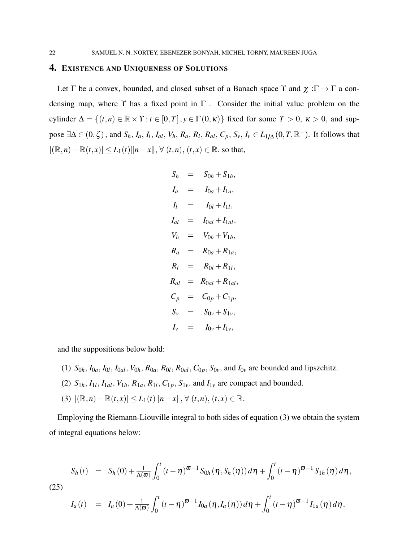### 4. EXISTENCE AND UNIQUENESS OF SOLUTIONS

Let  $\Gamma$  be a convex, bounded, and closed subset of a Banach space  $\Upsilon$  and  $\chi : \Gamma \to \Gamma$  a condensing map, where  $\Upsilon$  has a fixed point in  $\Gamma$ . Consider the initial value problem on the cylinder  $\Delta = \{(t,n) \in \mathbb{R} \times \Upsilon : t \in [0,T], y \in \Gamma(0,\kappa)\}\$  fixed for some  $T > 0$ ,  $\kappa > 0$ , and suppose  $\exists \Delta \in (0, \zeta)$ , and  $S_h$ ,  $I_a$ ,  $I_l$ ,  $I_{al}$ ,  $V_h$ ,  $R_a$ ,  $R_l$ ,  $R_{al}$ ,  $C_p$ ,  $S_v$ ,  $I_v \in L_{1/\Delta}(0, T, \mathbb{R}^+)$ . It follows that  $|(\mathbb{R}, n) - \mathbb{R}(t, x)| \le L_1(t) ||n - x||, ∀ (t, n), (t, x) \in \mathbb{R}$ . so that,

$$
S_h = S_{0h} + S_{1h},
$$
  
\n
$$
I_a = I_{0a} + I_{1a},
$$
  
\n
$$
I_l = I_{0l} + I_{1l},
$$
  
\n
$$
I_{al} = I_{0al} + I_{1al},
$$
  
\n
$$
V_h = V_{0h} + V_{1h},
$$
  
\n
$$
R_a = R_{0a} + R_{1a},
$$
  
\n
$$
R_l = R_{0l} + R_{1l},
$$
  
\n
$$
R_{al} = R_{0al} + R_{1al},
$$
  
\n
$$
C_p = C_{0p} + C_{1p},
$$
  
\n
$$
S_v = S_{0v} + S_{1v},
$$
  
\n
$$
I_v = I_{0v} + I_{1v},
$$

and the suppositions below hold:

- (1)  $S_{0h}$ ,  $I_{0a}$ ,  $I_{0l}$ ,  $I_{0al}$ ,  $V_{0h}$ ,  $R_{0a}$ ,  $R_{0l}$ ,  $R_{0al}$ ,  $C_{0p}$ ,  $S_{0v}$ , and  $I_{0v}$  are bounded and lipszchitz.
- (2)  $S_{1h}$ ,  $I_{1l}$ ,  $I_{1al}$ ,  $V_{1h}$ ,  $R_{1a}$ ,  $R_{1l}$ ,  $C_{1p}$ ,  $S_{1v}$ , and  $I_{1v}$  are compact and bounded.
- (3)  $|(\mathbb{R}, n) \mathbb{R}(t, x)| \le L_1(t) ||n x||, ∀ (t, n), (t, x) \in \mathbb{R}.$

Employing the Riemann-Liouville integral to both sides of equation [\(3\)](#page-4-0) we obtain the system of integral equations below:

$$
S_h(t) = S_h(0) + \frac{1}{\Lambda(\varpi)} \int_0^t (t-\eta)^{\varpi-1} S_{0h}(\eta, S_h(\eta)) d\eta + \int_0^t (t-\eta)^{\varpi-1} S_{1h}(\eta) d\eta,
$$
\n(25)

$$
I_a(t) = I_a(0) + \frac{1}{\Lambda(\overline{\omega})} \int_0^t (t - \eta)^{\overline{\omega}-1} I_{0a}(\eta, I_a(\eta)) d\eta + \int_0^t (t - \eta)^{\overline{\omega}-1} I_{1a}(\eta) d\eta,
$$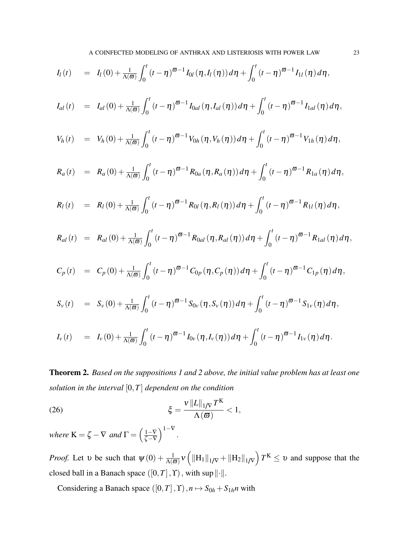$$
I_{l}(t) = I_{l}(0) + \frac{1}{\Lambda(\varpi)} \int_{0}^{t} (t-\eta)^{\varpi-1} I_{0l}(\eta, I_{l}(\eta)) d\eta + \int_{0}^{t} (t-\eta)^{\varpi-1} I_{1l}(\eta) d\eta,
$$

$$
I_{al}\left(t\right) \quad = \quad I_{al}\left(0\right) + \frac{1}{\Lambda(\varpi)}\int_0^t \left(t-\eta\right)^{\varpi-1} I_{0al}\left(\eta, I_{al}\left(\eta\right)\right) d\eta + \int_0^t \left(t-\eta\right)^{\varpi-1} I_{1al}\left(\eta\right) d\eta,
$$

$$
V_h(t) = V_h(0) + \frac{1}{\Lambda(\sigma)} \int_0^t (t-\eta)^{\sigma-1} V_{0h}(\eta, V_h(\eta)) d\eta + \int_0^t (t-\eta)^{\sigma-1} V_{1h}(\eta) d\eta,
$$

$$
R_a(t) = R_a(0) + \frac{1}{\Lambda(\overline{\omega})} \int_0^t (t-\eta)^{\overline{\omega}-1} R_{0a}(\eta, R_a(\eta)) d\eta + \int_0^t (t-\eta)^{\overline{\omega}-1} R_{1a}(\eta) d\eta,
$$

$$
R_{l}(t) = R_{l}(0) + \frac{1}{\Lambda(\overline{\omega})} \int_{0}^{t} (t-\eta)^{\overline{\omega}-1} R_{0l}(\eta, R_{l}(\eta)) d\eta + \int_{0}^{t} (t-\eta)^{\overline{\omega}-1} R_{1l}(\eta) d\eta,
$$

$$
R_{al}(t) = R_{al}(0) + \frac{1}{\Lambda(\sigma)} \int_0^t (t-\eta)^{\sigma-1} R_{0al}(\eta, R_{al}(\eta)) d\eta + \int_0^t (t-\eta)^{\sigma-1} R_{1al}(\eta) d\eta,
$$

$$
C_p(t) = C_p(0) + \frac{1}{\Lambda(\overline{\omega})} \int_0^t (t-\eta)^{\overline{\omega}-1} C_{0p}(\eta, C_p(\eta)) d\eta + \int_0^t (t-\eta)^{\overline{\omega}-1} C_{1p}(\eta) d\eta,
$$

$$
S_{\nu}(t) = S_{\nu}(0) + \frac{1}{\Lambda(\sigma)} \int_0^t (t-\eta)^{\sigma-1} S_{0\nu}(\eta, S_{\nu}(\eta)) d\eta + \int_0^t (t-\eta)^{\sigma-1} S_{1\nu}(\eta) d\eta,
$$

$$
I_{\nu}(t) = I_{\nu}(0) + \frac{1}{\Lambda(\varpi)} \int_0^t (t-\eta)^{\varpi-1} I_{0\nu}(\eta, I_{\nu}(\eta)) d\eta + \int_0^t (t-\eta)^{\varpi-1} I_{1\nu}(\eta) d\eta.
$$

Theorem 2. *Based on the suppositions 1 and 2 above, the initial value problem has at least one solution in the interval* [0,*T*] *dependent on the condition*

(26) 
$$
\xi = \frac{v \, ||L||_{1/\nabla} T^{K}}{\Lambda(\varpi)} < 1,
$$

*where*  $K = \zeta - \nabla$  *and*  $\Gamma = \left(\frac{1-\nabla}{\zeta - \nabla}\right)$ ζ−∇  $\big)^{1-\nabla}$ .

*Proof.* Let v be such that  $\psi(0) + \frac{1}{\Lambda(\varpi)} \nu \left( \|H_1\|_{1/\nabla} + \|H_2\|_{1/\nabla} \right) T^{K} \leq \nu$  and suppose that the closed ball in a Banach space  $([0, T], Y)$ , with sup  $\|\cdot\|$ .

Considering a Banach space  $([0, T], \Upsilon)$ ,  $n \mapsto S_{0h} + S_{1h}n$  with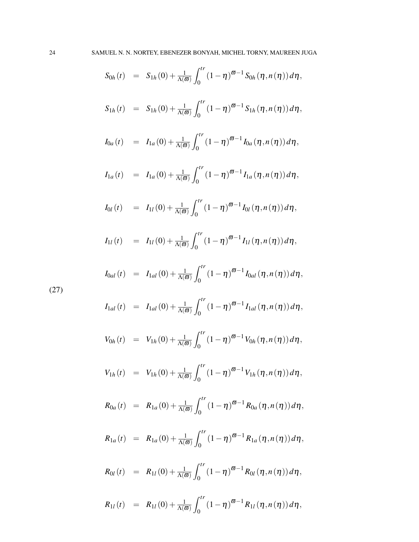$$
S_{0h}(t) = S_{1h}(0) + \frac{1}{\Lambda(\varpi)} \int_0^{tr} (1-\eta)^{\varpi-1} S_{0h}(\eta, n(\eta)) d\eta,
$$

$$
S_{1h}(t) = S_{1h}(0) + \frac{1}{\Lambda(\varpi)} \int_0^{tr} (1-\eta)^{\varpi-1} S_{1h}(\eta, n(\eta)) d\eta,
$$

$$
I_{0a}(t) = I_{1a}(0) + \frac{1}{\Lambda(\varpi)} \int_0^{tr} (1-\eta)^{\varpi-1} I_{0a}(\eta, n(\eta)) d\eta,
$$

$$
I_{1a}(t) = I_{1a}(0) + \frac{1}{\Lambda(\overline{\omega})} \int_0^{tr} (1-\eta)^{\overline{\omega}-1} I_{1a}(\eta, n(\eta)) d\eta,
$$

$$
I_{0l}(t) = I_{1l}(0) + \frac{1}{\Lambda(\varpi)} \int_0^{tr} (1-\eta)^{\varpi-1} I_{0l}(\eta, n(\eta)) d\eta,
$$

$$
I_{1l}(t) = I_{1l}(0) + \frac{1}{\Lambda(\varpi)} \int_0^{tr} (1-\eta)^{\varpi-1} I_{1l}(\eta, n(\eta)) d\eta,
$$

$$
I_{0al}\left(t\right) = I_{1al}\left(0\right) + \frac{1}{\Lambda(\varpi)} \int_0^{tr} (1-\eta)^{\varpi-1} I_{0al}\left(\eta, n(\eta)\right) d\eta,
$$

(27)

$$
I_{1al}(t) = I_{1al}(0) + \frac{1}{\Lambda(\varpi)} \int_0^{tr} (1-\eta)^{\varpi-1} I_{1al}(\eta, n(\eta)) d\eta,
$$

$$
V_{0h}(t) = V_{1h}(0) + \frac{1}{\Lambda(\varpi)} \int_0^{tr} (1 - \eta)^{\varpi - 1} V_{0h}(\eta, n(\eta)) d\eta,
$$

$$
V_{1h}(t) = V_{1h}(0) + \frac{1}{\Lambda(\overline{\omega})} \int_0^{tr} (1-\eta)^{\overline{\omega}-1} V_{1h}(\eta, n(\eta)) d\eta,
$$

$$
R_{0a}(t) = R_{1a}(0) + \frac{1}{\Lambda(\overline{\omega})} \int_0^{tr} (1-\eta)^{\overline{\omega}-1} R_{0a}(\eta, n(\eta)) d\eta,
$$

$$
R_{1a}(t) = R_{1a}(0) + \frac{1}{\Lambda(\overline{\omega})} \int_0^{tr} (1-\eta)^{\overline{\omega}-1} R_{1a}(\eta, n(\eta)) d\eta,
$$

$$
R_{0l}(t) = R_{1l}(0) + \frac{1}{\Lambda(\overline{\omega})} \int_0^{tr} (1-\eta)^{\overline{\omega}-1} R_{0l}(\eta, n(\eta)) d\eta,
$$

$$
R_{1l}(t) = R_{1l}(0) + \frac{1}{\Lambda(\varpi)} \int_0^{tr} (1-\eta)^{\varpi-1} R_{1l}(\eta, n(\eta)) d\eta,
$$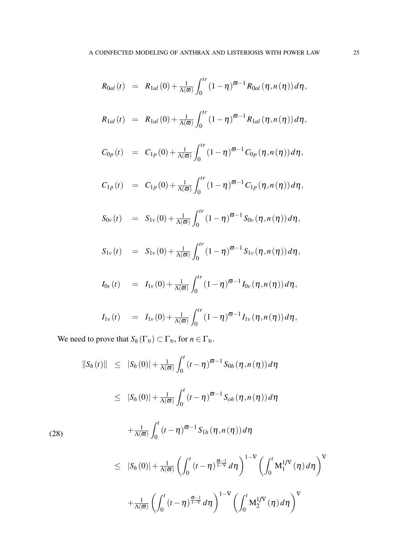$$
R_{0al}(t) = R_{1al}(0) + \frac{1}{\Lambda(\varpi)} \int_{0}^{tr} (1 - \eta)^{\varpi - 1} R_{0al}(\eta, n(\eta)) d\eta,
$$
  
\n
$$
R_{1al}(t) = R_{1al}(0) + \frac{1}{\Lambda(\varpi)} \int_{0}^{tr} (1 - \eta)^{\varpi - 1} R_{1al}(\eta, n(\eta)) d\eta,
$$
  
\n
$$
C_{0p}(t) = C_{1p}(0) + \frac{1}{\Lambda(\varpi)} \int_{0}^{tr} (1 - \eta)^{\varpi - 1} C_{0p}(\eta, n(\eta)) d\eta,
$$
  
\n
$$
C_{1p}(t) = C_{1p}(0) + \frac{1}{\Lambda(\varpi)} \int_{0}^{tr} (1 - \eta)^{\varpi - 1} C_{1p}(\eta, n(\eta)) d\eta,
$$
  
\n
$$
S_{0v}(t) = S_{1v}(0) + \frac{1}{\Lambda(\varpi)} \int_{0}^{tr} (1 - \eta)^{\varpi - 1} S_{0v}(\eta, n(\eta)) d\eta,
$$
  
\n
$$
S_{1v}(t) = S_{1v}(0) + \frac{1}{\Lambda(\varpi)} \int_{0}^{tr} (1 - \eta)^{\varpi - 1} S_{1v}(\eta, n(\eta)) d\eta,
$$
  
\n
$$
I_{0v}(t) = I_{1v}(0) + \frac{1}{\Lambda(\varpi)} \int_{0}^{tr} (1 - \eta)^{\varpi - 1} I_{0v}(\eta, n(\eta)) d\eta,
$$
  
\n
$$
I_{1v}(t) = I_{1v}(0) + \frac{1}{\Lambda(\varpi)} \int_{0}^{tr} (1 - \eta)^{\varpi - 1} I_{1v}(\eta, n(\eta)) d\eta,
$$

We need to prove that  $S_h(\Gamma_v) \subset \Gamma_v$ , for  $n \in \Gamma_v$ .

(28)

$$
\begin{array}{lcl} \left\|S_{h}(t)\right\| & \leq & \left|S_{h}(0)\right|+\frac{1}{\Lambda(\varpi)}\int_{0}^{t}\left(t-\eta\right)^{\varpi-1}S_{0h}(\eta,n(\eta))d\eta \\ \\ & \leq & \left|S_{h}(0)\right|+\frac{1}{\Lambda(\varpi)}\int_{0}^{t}\left(t-\eta\right)^{\varpi-1}S_{0h}(\eta,n(\eta))d\eta \\ \\ & +\frac{1}{\Lambda(\varpi)}\int_{0}^{t}\left(t-\eta\right)^{\varpi-1}S_{1h}(\eta,n(\eta))d\eta \\ \\ & \leq & \left|S_{h}(0)\right|+\frac{1}{\Lambda(\varpi)}\left(\int_{0}^{t}\left(t-\eta\right)^{\frac{\varpi-1}{1-\nabla}}d\eta\right)^{1-\nabla}\left(\int_{0}^{t}\mathrm{M}_{1}^{1/\nabla}(\eta)d\eta\right) \\ \\ & +\frac{1}{\Lambda(\varpi)}\left(\int_{0}^{t}\left(t-\eta\right)^{\frac{\varpi-1}{1-\nabla}}d\eta\right)^{1-\nabla}\left(\int_{0}^{t}\mathrm{M}_{2}^{1/\nabla}(\eta)d\eta\right)^{\nabla} \end{array}
$$

 $\lambda^{\nabla}$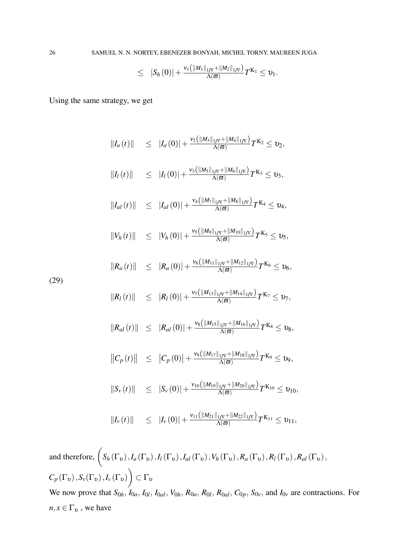$$
\leq |S_h(0)| + \frac{\nu_1(|M_1||_{1/\nabla} + ||M_2||_{1/\nabla})}{\Lambda(\varpi)}T^{K_1} \leq \nu_1.
$$

Using the same strategy, we get

$$
||I_{a}(t)|| \leq |I_{a}(0)| + \frac{\nu_{2}(|M_{3}||_{1/\nabla} + ||M_{4}||_{1/\nabla})}{\Lambda(\varpi)}T^{K_{2}} \leq \nu_{2},
$$
  
\n
$$
||I_{l}(t)|| \leq |I_{l}(0)| + \frac{\nu_{3}(|M_{5}||_{1/\nabla} + ||M_{6}||_{1/\nabla})}{\Lambda(\varpi)}T^{K_{3}} \leq \nu_{3},
$$
  
\n
$$
||I_{al}(t)|| \leq |I_{al}(0)| + \frac{\nu_{4}(|M_{7}||_{1/\nabla} + ||M_{8}||_{1/\nabla})}{\Lambda(\varpi)}T^{K_{4}} \leq \nu_{4},
$$
  
\n
$$
||V_{h}(t)|| \leq |V_{h}(0)| + \frac{\nu_{5}(|M_{9}||_{1/\nabla} + ||M_{10}||_{1/\nabla})}{\Lambda(\varpi)}T^{K_{5}} \leq \nu_{5},
$$
  
\n
$$
||R_{a}(t)|| \leq |R_{a}(0)| + \frac{\nu_{6}(|M_{11}||_{1/\nabla} + ||M_{12}||_{1/\nabla})}{\Lambda(\varpi)}T^{K_{6}} \leq \nu_{6},
$$
  
\n
$$
||R_{l}(t)|| \leq |R_{l}(0)| + \frac{\nu_{7}(|M_{13}||_{1/\nabla} + ||M_{14}||_{1/\nabla})}{\Lambda(\varpi)}T^{K_{7}} \leq \nu_{7},
$$

$$
||R_{al}(t)|| \leq |R_{al}(0)| + \frac{v_8(||M_{15}||_{1/\nabla} + ||M_{16}||_{1/\nabla})}{\Lambda(\varpi)}T^{K_8} \leq v_8,
$$

$$
||C_p(t)|| \leq |C_p(0)| + \frac{\nu_9(||M_{17}||_{1/\nabla} + ||M_{18}||_{1/\nabla})}{\Lambda(\varpi)}T^{K_9} \leq v_9,
$$

$$
||S_{\nu}(t)|| \leq |S_{\nu}(0)| + \frac{\nu_{10} (||M_{19}||_{1/\nabla} + ||M_{20}||_{1/\nabla})}{\Lambda(\varpi)} T^{K_{10}} \leq \nu_{10},
$$

$$
||I_{\nu}(t)|| \leq ||I_{\nu}(0)| + \frac{\nu_{11}(|M_{21}||_{1/\nabla} + ||M_{22}||_{1/\nabla})}{\Lambda(\varpi)}T^{K_{11}} \leq \nu_{11},
$$

and therefore,  $(S_h(\Gamma_v), I_a(\Gamma_v), I_l(\Gamma_v), I_{al}(\Gamma_v), V_h(\Gamma_v), R_a(\Gamma_v), R_l(\Gamma_v), R_{al}(\Gamma_v),$  $C_p(\Gamma_v), S_v(\Gamma_v), I_v(\Gamma_v)$  $\setminus$  $\subset \Gamma_v$ We now prove that  $S_{0h}$ ,  $I_{0a}$ ,  $I_{0l}$ ,  $I_{0al}$ ,  $V_{0h}$ ,  $R_{0a}$ ,  $R_{0l}$ ,  $R_{0al}$ ,  $C_{0p}$ ,  $S_{0v}$ , and  $I_{0v}$  are contractions. For

 $n, x \in \Gamma$ <sub>v</sub>, we have

(29)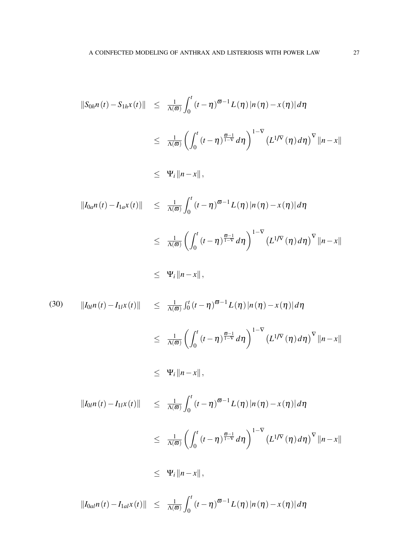$$
\begin{array}{rcl}\n\|S_{0h}n(t)-S_{1h}x(t)\| &\leq & \frac{1}{\Lambda(\varpi)}\int_{0}^{t}(t-\eta)^{\varpi-1}L(\eta)\left|n(\eta)-x(\eta)\right|d\eta \\
\\ &\leq & \frac{1}{\Lambda(\varpi)}\left(\int_{0}^{t}(t-\eta)^{\frac{\varpi-1}{1-\nu}}d\eta\right)^{1-\nabla}\left(L^{1/\nabla}(\eta)d\eta\right)^{\nabla}\left\|n-x\right\| \\
\\ &\leq & \Psi_{i}\left\|n-x\right\|,\n\end{array}
$$
\n
$$
\begin{array}{rcl}\n\|I_{0\alpha}n(t)-I_{1\alpha}x(t)\| &\leq & \frac{1}{\Lambda(\varpi)}\int_{0}^{t}(t-\eta)^{\varpi-1}L(\eta)\left|n(\eta)-x(\eta)\right|d\eta \\
\\ &\leq & \frac{1}{\Lambda(\varpi)}\left(\int_{0}^{t}(t-\eta)^{\frac{\varpi-1}{1-\nu}}d\eta\right)^{1-\nabla}\left(L^{1/\nabla}(\eta)d\eta\right)^{\nabla}\left\|n-x\right\| \\
\\ &\leq & \Psi_{i}\left\|n-x\right\|,\n\end{array}
$$
\n
$$
\begin{array}{rcl}\n\|I_{0l}n(t)-I_{1l}x(t)\| &\leq & \frac{1}{\Lambda(\varpi)}\int_{0}^{t}(t-\eta)^{\varpi-1}L(\eta)\left|n(\eta)-x(\eta)\right|d\eta \\
\\ &\leq & \frac{1}{\Lambda(\varpi)}\left(\int_{0}^{t}(t-\eta)^{\frac{\varpi-1}{1-\nu}}d\eta\right)^{1-\nabla}\left(L^{1/\nabla}(\eta)d\eta\right)^{\nabla}\left\|n-x\right\| \\
\\ &\leq & \Psi_{i}\left\|n-x\right\|,\n\end{array}
$$

(30)

 $\|I_{0l}n(t) - I_{1l}x(t)\|$  ≤  $\frac{1}{\Lambda(t)}$  $\overline{\Lambda(\varpi)}$  $\int_0^t$  $\int_0^1 (t - \eta)^{π - 1} L(η) |n(η) – x(η)| dη$  $\leq \frac{1}{\Delta}$  $\Lambda(\varpi)$  $\int f^t$  $\int_0^t \left(t-\eta\right)^{\frac{\varpi-1}{1-\nabla}}d\eta$  $\int_{0}^{1-\nabla} (L^{1/\nabla}(\eta) d\eta)^{\nabla} ||n-x||$  $\leq \Psi_i \|n - x\|$ ,  $\left\| I_{0al}n(t) - I_{1al}x(t) \right\| \leq \frac{1}{\Delta(t)}$  $\int_0^t$  $\int_0^1 (t - \eta)^{π - 1} L(η) |n(η) – x(η)| dη$ 

 $\Lambda(\varpi)$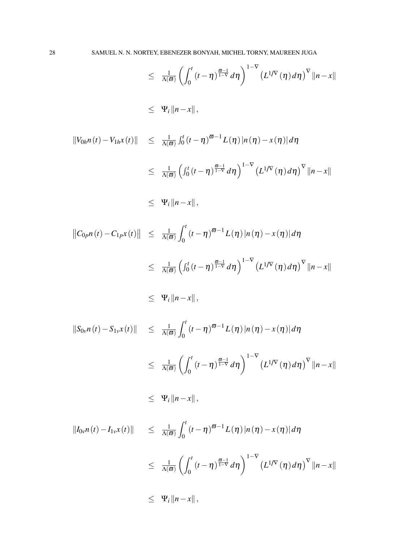$$
\leq \frac{1}{\Lambda(\varpi)} \left( \int_0^t (t-\eta)^{\frac{\varpi-1}{1-\nu}} d\eta \right)^{1-\nabla} \left( L^{1/\nabla}(\eta) d\eta \right)^{\nabla} ||n-x||
$$
  
\n
$$
\leq \Psi_i ||n-x||,
$$
  
\n
$$
||V_{0h}n(t) - V_{1h}x(t)|| \leq \frac{1}{\Lambda(\varpi)} \int_0^t (t-\eta)^{\varpi-1} L(\eta) |n(\eta) - x(\eta)| d\eta
$$
  
\n
$$
\leq \frac{1}{\Lambda(\varpi)} \left( \int_0^t (t-\eta)^{\frac{\varpi-1}{1-\nu}} d\eta \right)^{1-\nabla} \left( L^{1/\nabla}(\eta) d\eta \right)^{\nabla} ||n-x||
$$
  
\n
$$
\leq \Psi_i ||n-x||,
$$
  
\n
$$
||C_{0p}n(t) - C_{1p}x(t)|| \leq \frac{1}{\Lambda(\varpi)} \int_0^t (t-\eta)^{\varpi-1} L(\eta) |n(\eta) - x(\eta)| d\eta
$$
  
\n
$$
\leq \frac{1}{\Lambda(\varpi)} \left( \int_0^t (t-\eta)^{\frac{\varpi-1}{1-\nu}} d\eta \right)^{1-\nabla} \left( L^{1/\nabla}(\eta) d\eta \right)^{\nabla} ||n-x||
$$

$$
\leq \Psi_i \|n - x\|,
$$

$$
\begin{array}{lcl} \|S_{0v}n(t)-S_{1v}x(t)\|&\leq&\displaystyle\frac{1}{\Lambda(\varpi)}\int_0^t(t-\eta)^{\varpi-1}L(\eta)\left|n(\eta)-x(\eta)\right|d\eta\\ \\ &\leq&\displaystyle\frac{1}{\Lambda(\varpi)}\left(\int_0^t(t-\eta)^{\frac{\varpi-1}{1-\nabla}}d\eta\right)^{1-\nabla}\left(L^{1/\nabla}(\eta)d\eta\right)^{\nabla}\left\|n-x\right\| \end{array}
$$

$$
\leq \Psi_i \|n - x\|,
$$

$$
\begin{array}{lcl} \left\| I_{0\nu}n(t)-I_{1\nu}x(t)\right\| & \leq & \displaystyle \frac{1}{\Lambda(\varpi)}\int_0^t (t-\eta)^{\varpi-1}L(\eta)\left|n(\eta)-x(\eta)\right|d\eta \\ \\ & \leq & \displaystyle \frac{1}{\Lambda(\varpi)}\left(\int_0^t (t-\eta)^{\frac{\varpi-1}{1-\nabla}}d\eta\right)^{1-\nabla}\left(L^{1/\nabla}(\eta)d\eta\right)^{\nabla}\left\|n-x\right\| \\ \\ & \leq & \displaystyle \Psi_i\left\|n-x\right\|, \end{array}
$$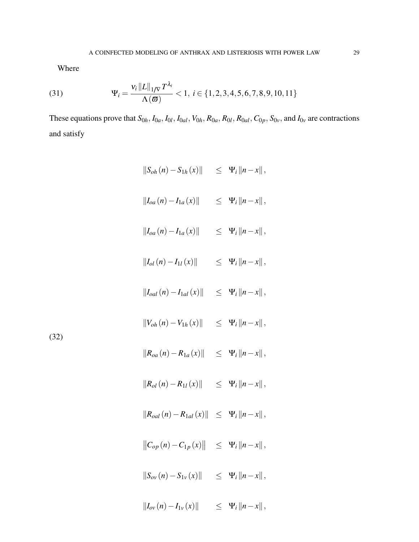<span id="page-28-0"></span>Where

(31) 
$$
\Psi_i = \frac{v_i ||L||_{1/\nabla} T^{\lambda_i}}{\Lambda(\varpi)} < 1, \ i \in \{1, 2, 3, 4, 5, 6, 7, 8, 9, 10, 11\}
$$

These equations prove that  $S_{0h}$ ,  $I_{0a}$ ,  $I_{0l}$ ,  $I_{0al}$ ,  $V_{0h}$ ,  $R_{0a}$ ,  $R_{0l}$ ,  $R_{0al}$ ,  $C_{0p}$ ,  $S_{0v}$ , and  $I_{0v}$  are contractions and satisfy

- $||S_{oh}(n) S_{1h}(x)||$  ≤ Ψ*i*  $||n x||$ ,  $||I_{oa}(n) - I_{1a}(x)||$  ≤ Ψ*i*  $||n - x||$ ,  $\|I_{oa}(n) - I_{1a}(x)\|$  < Ψ*i* $\|n - x\|$ ,  $||I_{ol}(n) - I_{1l}(x)||$  ≤ Ψ*i*  $||n - x||$ ,  $||I_{oal}(n) - I_{1al}(x)||$  ≤ Ψ*i*  $||n - x||$ ,  $||V_{oh}(n) - V_{1h}(x)||$  ≤ Ψ*i*  $||n - x||$ ,  $\|R_{oa}(n) - R_{1a}(x)\|$  ≤ Ψ*i* $\|n - x\|$ ,  $\|R_{ol}(n) - R_{1l}(x)\| \leq \Psi_i \|n - x\|$ ,  $\|R_{oal}(n) - R_{1al}(x)\| \leq \Psi_i \|n - x\|$ ,  $\left\|C_{op}(n) - C_{1p}(x)\right\| \leq \Psi_i \|n - x\|,$  $||S_{ov}(n) - S_{1v}(x)||$  ≤ Ψ*i*  $||n - x||$ ,
- $||I_{ov}(n) I_{1v}(x)||$  ≤ Ψ*i*  $||n x||$ ,

(32)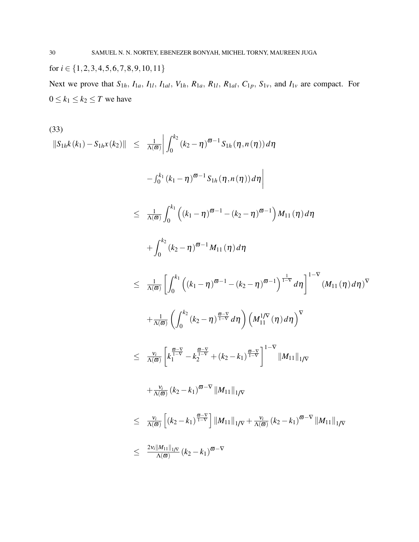for  $i \in \{1,2,3,4,5,6,7,8,9,10,11\}$ 

Next we prove that  $S_{1h}$ ,  $I_{1a}$ ,  $I_{1l}$ ,  $I_{1al}$ ,  $V_{1h}$ ,  $R_{1a}$ ,  $R_{1l}$ ,  $R_{1al}$ ,  $C_{1p}$ ,  $S_{1v}$ , and  $I_{1v}$  are compact. For  $0 \leq k_1 \leq k_2 \leq T$  we have

$$
(33)
$$
\n
$$
||S_{1h}k(k_1) - S_{1h}x(k_2)|| \leq \frac{1}{\Lambda(\sigma)} \Big| \int_0^{k_2} (k_2 - \eta)^{\sigma-1} S_{1h}(\eta, n(\eta)) d\eta \Big|
$$
\n
$$
- \int_0^{k_1} (k_1 - \eta)^{\sigma-1} S_{1h}(\eta, n(\eta)) d\eta \Big|
$$
\n
$$
\leq \frac{1}{\Lambda(\sigma)} \int_0^{k_1} ((k_1 - \eta)^{\sigma-1} - (k_2 - \eta)^{\sigma-1}) M_{11}(\eta) d\eta
$$
\n
$$
+ \int_0^{k_2} (k_2 - \eta)^{\sigma-1} M_{11}(\eta) d\eta
$$
\n
$$
\leq \frac{1}{\Lambda(\sigma)} \Big[ \int_0^{k_1} ((k_1 - \eta)^{\sigma-1} - (k_2 - \eta)^{\sigma-1})^{\frac{1}{1-\nu}} d\eta \Big]^{1-\nu} (M_{11}(\eta) d\eta)^{\nu}
$$
\n
$$
+ \frac{1}{\Lambda(\sigma)} \Big( \int_0^{k_2} (k_2 - \eta)^{\frac{\sigma-\nu}{1-\nu}} d\eta \Big) (M_{11}^{1/\nu}(\eta) d\eta)^{\nu}
$$
\n
$$
\leq \frac{V_1}{\Lambda(\sigma)} \Big[ k_1^{\frac{\sigma-\nu}{1-\nu}} - k_2^{\frac{\sigma-\nu}{1-\nu}} + (k_2 - k_1)^{\frac{\sigma-\nu}{1-\nu}} \Big]^{1-\nu} ||M_{11}||_{1/\nu}
$$
\n
$$
+ \frac{V_1}{\Lambda(\sigma)} (k_2 - k_1)^{\sigma-\nu} ||M_{11}||_{1/\nu}
$$
\n
$$
\leq \frac{V_2}{\Lambda(\sigma)} \Big[ (k_2 - k_1)^{\frac{\sigma-\nu}{1-\nu}} \Big] ||M_{11}||_{1/\nu} + \frac{V_1}{\Lambda(\sigma)} (k_2 - k_1)^{\sigma-\nu} ||M_{11}||_{1/\nu}
$$
\n
$$
\leq \frac{2V_1 ||M_{11}||_{1/\nu}}{\Lambda(\sigma)} (k_2 - k_1)^{\sigma-\nu}
$$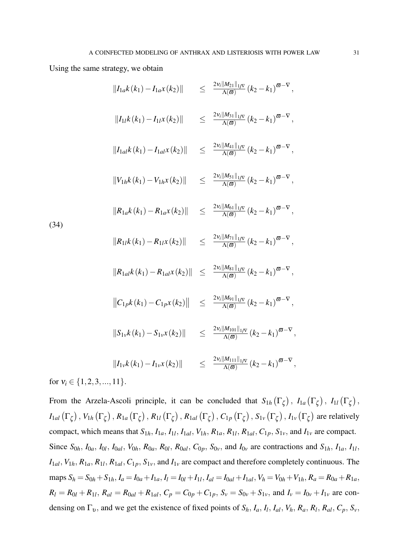Using the same strategy, we obtain

$$
||I_{1a}k(k_{1}) - I_{1a}x(k_{2})|| \leq \frac{2v_{i}||M_{21}||_{1/\nabla}}{\Lambda(\varpi)} (k_{2} - k_{1})^{\varpi - \nabla},
$$
  
\n
$$
||I_{1l}k(k_{1}) - I_{1l}x(k_{2})|| \leq \frac{2v_{i}||M_{31}||_{1/\nabla}}{\Lambda(\varpi)} (k_{2} - k_{1})^{\varpi - \nabla},
$$
  
\n
$$
||I_{1a}k(k_{1}) - I_{1a}k(k_{2})|| \leq \frac{2v_{i}||M_{41}||_{1/\nabla}}{\Lambda(\varpi)} (k_{2} - k_{1})^{\varpi - \nabla},
$$
  
\n
$$
||V_{1h}k(k_{1}) - V_{1h}x(k_{2})|| \leq \frac{2v_{i}||M_{51}||_{1/\nabla}}{\Lambda(\varpi)} (k_{2} - k_{1})^{\varpi - \nabla},
$$
  
\n
$$
||R_{1a}k(k_{1}) - R_{1a}x(k_{2})|| \leq \frac{2v_{i}||M_{61}||_{1/\nabla}}{\Lambda(\varpi)} (k_{2} - k_{1})^{\varpi - \nabla},
$$
  
\n
$$
||R_{1l}k(k_{1}) - R_{1l}x(k_{2})|| \leq \frac{2v_{i}||M_{71}||_{1/\nabla}}{\Lambda(\varpi)} (k_{2} - k_{1})^{\varpi - \nabla},
$$
  
\n
$$
||R_{1a}k(k_{1}) - R_{1a}x(k_{2})|| \leq \frac{2v_{i}||M_{81}||_{1/\nabla}}{\Lambda(\varpi)} (k_{2} - k_{1})^{\varpi - \nabla},
$$
  
\n
$$
||C_{1p}k(k_{1}) - C_{1p}x(k_{2})|| \leq \frac{2v_{i}||M_{91}||_{1/\nabla}}{\Lambda(\varpi)} (k_{2} - k_{1})^{\varpi - \nabla},
$$
  
\n
$$
||S_{1v}k(k_{1}) - S_{1v}x(k_{2})|| \leq \frac{2v_{i}||M_{10}||_{1/\nabla}}{\Lambda(\varpi)} (k_{2} - k_{1})^{\varpi -
$$

for  $v_i \in \{1, 2, 3, ..., 11\}$ .

(34)

From the Arzela-Ascoli principle, it can be concluded that  $S_{1h}(\Gamma_{\zeta})$ ,  $I_{1a}(\Gamma_{\zeta})$ ,  $I_{1l}(\Gamma_{\zeta})$ ,  $I_{1al}\left(\Gamma_{\zeta}\right)$  ,  $V_{1h}\left(\Gamma_{\zeta}\right)$  ,  $R_{1a}\left(\Gamma_{\zeta}\right)$  ,  $R_{1al}\left(\Gamma_{\zeta}\right)$  ,  $C_{1p}\left(\Gamma_{\zeta}\right)$  ,  $S_{1v}\left(\Gamma_{\zeta}\right)$  ,  $I_{1v}\left(\Gamma_{\zeta}\right)$  are relatively compact, which means that  $S_{1h}$ ,  $I_{1a}$ ,  $I_{1l}$ ,  $I_{1al}$ ,  $V_{1h}$ ,  $R_{1a}$ ,  $R_{1l}$ ,  $R_{1al}$ ,  $C_{1p}$ ,  $S_{1v}$ , and  $I_{1v}$  are compact. Since  $S_{0h}$ ,  $I_{0a}$ ,  $I_{0l}$ ,  $I_{0al}$ ,  $V_{0h}$ ,  $R_{0a}$ ,  $R_{0l}$ ,  $R_{0al}$ ,  $C_{0p}$ ,  $S_{0v}$ , and  $I_{0v}$  are contractions and  $S_{1h}$ ,  $I_{1a}$ ,  $I_{1l}$ ,  $I_{1a}$ ,  $V_{1h}$ ,  $R_{1a}$ ,  $R_{1l}$ ,  $R_{1a}$ ,  $C_{1p}$ ,  $S_{1v}$ , and  $I_{1v}$  are compact and therefore completely continuous. The maps  $S_h = S_{0h} + S_{1h}$ ,  $I_a = I_{0a} + I_{1a}$ ,  $I_l = I_{0l} + I_{1l}$ ,  $I_{al} = I_{0al} + I_{1al}$ ,  $V_h = V_{0h} + V_{1h}$ ,  $R_a = R_{0a} + R_{1a}$ ,  $R_l = R_{0l} + R_{1l}$ ,  $R_{al} = R_{0al} + R_{1al}$ ,  $C_p = C_{0p} + C_{1p}$ ,  $S_v = S_{0v} + S_{1v}$ , and  $I_v = I_{0v} + I_{1v}$  are condensing on  $\Gamma_v$ , and we get the existence of fixed points of  $S_h$ ,  $I_a$ ,  $I_l$ ,  $I_{al}$ ,  $V_h$ ,  $R_a$ ,  $R_l$ ,  $R_{al}$ ,  $C_p$ ,  $S_v$ ,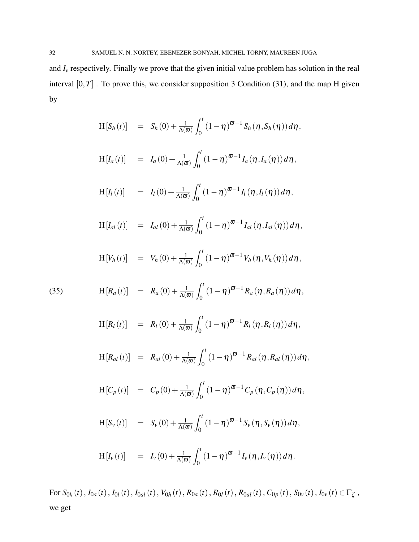and  $I<sub>v</sub>$  respectively. Finally we prove that the given initial value problem has solution in the real interval  $[0, T]$ . To prove this, we consider supposition 3 Condition [\(31\)](#page-28-0), and the map H given by

$$
H[S_h(t)] = S_h(0) + \frac{1}{\Lambda(\varpi)} \int_0^t (1-\eta)^{\varpi-1} S_h(\eta, S_h(\eta)) d\eta,
$$

$$
H[I_a(t)] = I_a(0) + \frac{1}{\Lambda(\overline{\omega})} \int_0^t (1-\eta)^{\overline{\omega}-1} I_a(\eta, I_a(\eta)) d\eta,
$$

$$
H[I_l(t)] = I_l(0) + \frac{1}{\Lambda(\varpi)} \int_0^t (1-\eta)^{\varpi-1} I_l(\eta, I_l(\eta)) d\eta,
$$

$$
H[I_{al}(t)] = I_{al}(0) + \frac{1}{\Lambda(\varpi)} \int_0^t (1-\eta)^{\varpi-1} I_{al}(\eta, I_{al}(\eta)) d\eta,
$$

$$
H[V_h(t)] = V_h(0) + \frac{1}{\Lambda(\varpi)} \int_0^t (1-\eta)^{\varpi-1} V_h(\eta, V_h(\eta)) d\eta,
$$

(35) 
$$
H[R_a(t)] = R_a(0) + \frac{1}{\Lambda(\varpi)} \int_0^t (1-\eta)^{\varpi-1} R_a(\eta, R_a(\eta)) d\eta,
$$

$$
H[R_l(t)] = R_l(0) + \frac{1}{\Lambda(\varpi)} \int_0^t (1-\eta)^{\varpi-1} R_l(\eta, R_l(\eta)) d\eta,
$$

$$
H[R_{al}(t)] = R_{al}(0) + \frac{1}{\Lambda(\varpi)} \int_0^t (1-\eta)^{\varpi-1} R_{al}(\eta, R_{al}(\eta)) d\eta,
$$

$$
H[C_p(t)] = C_p(0) + \frac{1}{\Lambda(\varpi)} \int_0^t (1-\eta)^{\varpi-1} C_p(\eta, C_p(\eta)) d\eta,
$$

$$
H[S_{\nu}(t)] = S_{\nu}(0) + \frac{1}{\Lambda(\varpi)} \int_0^t (1-\eta)^{\varpi-1} S_{\nu}(\eta, S_{\nu}(\eta)) d\eta,
$$

$$
H[I_v(t)] = I_v(0) + \frac{1}{\Lambda(\varpi)} \int_0^t (1-\eta)^{\varpi-1} I_v(\eta, I_v(\eta)) d\eta.
$$

For  $S_{0h}(t)$ ,  $I_{0a}(t)$ ,  $I_{0l}(t)$ ,  $I_{0al}(t)$ ,  $V_{0h}(t)$ ,  $R_{0a}(t)$ ,  $R_{0l}(t)$ ,  $R_{0al}(t)$ ,  $C_{0p}(t)$ ,  $S_{0v}(t)$ ,  $I_{0v}(t) \in \Gamma_{\zeta}$ , we get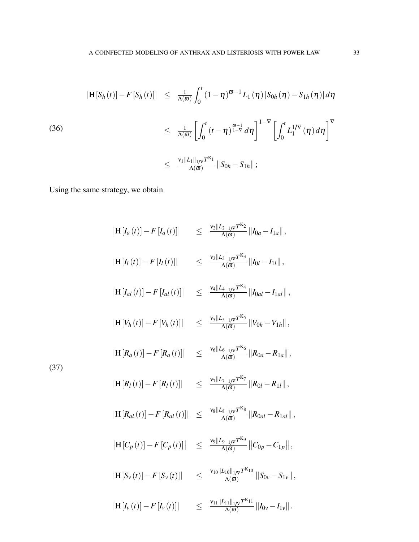(36)  
\n
$$
|H[S_h(t)] - F[S_h(t)]| \leq \frac{1}{\Lambda(\overline{\omega})} \int_0^t (1-\eta)^{\overline{\omega}-1} L_1(\eta) |S_{0h}(\eta) - S_{1h}(\eta)| d\eta
$$
\n
$$
\leq \frac{1}{\Lambda(\overline{\omega})} \left[ \int_0^t (t-\eta)^{\frac{\overline{\omega}-1}{1-\overline{\nu}}} d\eta \right]^{1-\overline{\nu}} \left[ \int_0^t L_1^{1/\overline{\nu}}(\eta) d\eta \right]^\overline{\nu}
$$
\n
$$
\leq \frac{\nu_1 \|L_1\|_{1/\overline{\nu}} T^{K_1}}{\Lambda(\overline{\omega})} \|S_{0h} - S_{1h}\|;
$$

Using the same strategy, we obtain

(37)

$$
|H[I_{a}(t)] - F[I_{a}(t)]| \leq \frac{v_{2}||L_{2}||_{1/\nabla}T^{K_{2}}}{\Lambda(\varpi)} ||I_{0a} - I_{1a}||,
$$
  
\n
$$
|H[I_{l}(t)] - F[I_{l}(t)]| \leq \frac{v_{3}||L_{3}||_{1/\nabla}T^{K_{3}}}{\Lambda(\varpi)} ||I_{0l} - I_{1l}||,
$$
  
\n
$$
|H[I_{a l}(t)] - F[I_{a l}(t)]| \leq \frac{v_{4}||L_{4}||_{1/\nabla}T^{K_{4}}}{\Lambda(\varpi)} ||I_{0a l} - I_{1a l}||,
$$
  
\n
$$
|H[V_{h}(t)] - F[V_{h}(t)]| \leq \frac{v_{5}||L_{5}||_{1/\nabla}T^{K_{5}}}{\Lambda(\varpi)} ||V_{0h} - V_{1h}||,
$$
  
\n
$$
|H[R_{a}(t)] - F[R_{a}(t)]| \leq \frac{v_{6}||L_{6}||_{1/\nabla}T^{K_{6}}}{\Lambda(\varpi)} ||R_{0a} - R_{1a}||,
$$
  
\n
$$
|H[R_{l}(t)] - F[R_{l}(t)]| \leq \frac{v_{7}||L_{7}||_{1/\nabla}T^{K_{7}}}{\Lambda(\varpi)} ||R_{0l} - R_{1l}||,
$$
  
\n
$$
|H[R_{a l}(t)] - F[R_{a l}(t)]| \leq \frac{v_{8}||L_{8}||_{1/\nabla}T^{K_{8}}}{\Lambda(\varpi)} ||R_{0a l} - R_{1a l}||,
$$
  
\n
$$
|H[C_{p}(t)] - F[C_{p}(t)]| \leq \frac{v_{9}||L_{9}||_{1/\nabla}T^{K_{10}}}{\Lambda(\varpi)} ||C_{0p} - C_{1p}||,
$$
  
\n
$$
|H[S_{\nu}(t)] - F[S_{\nu}(t)]| \leq \frac{v_{10}||L_{10}||_{1/\nabla}T^{K_{10}}}{\Lambda(\varpi)} ||S_{0\nu} - S_{1\nu}||.
$$
  
\n
$$
|H[I_{\nu}(t)] - F[I_{\nu}(t)]| \leq \frac{v_{11}||L_{11}||_{1/
$$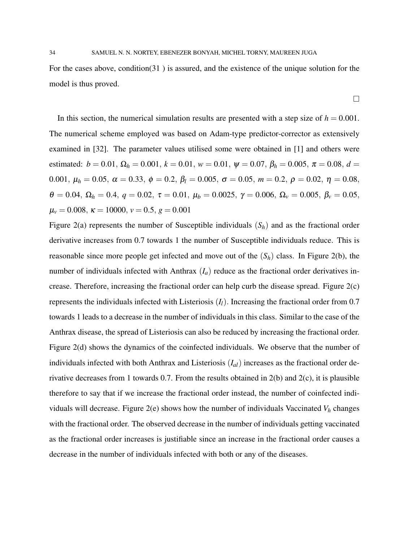For the cases above, condition[\(31](#page-28-0) ) is assured, and the existence of the unique solution for the model is thus proved.

In this section, the numerical simulation results are presented with a step size of  $h = 0.001$ . The numerical scheme employed was based on Adam-type predictor-corrector as extensively examined in [\[32\]](#page-39-13). The parameter values utilised some were obtained in [\[1\]](#page-37-0) and others were estimated:  $b = 0.01$ ,  $\Omega_h = 0.001$ ,  $k = 0.01$ ,  $w = 0.01$ ,  $\psi = 0.07$ ,  $\beta_h = 0.005$ ,  $\pi = 0.08$ ,  $d =$ 0.001,  $\mu_h = 0.05$ ,  $\alpha = 0.33$ ,  $\phi = 0.2$ ,  $\beta_l = 0.005$ ,  $\sigma = 0.05$ ,  $m = 0.2$ ,  $\rho = 0.02$ ,  $\eta = 0.08$ , θ = 0.04, Ω*<sup>h</sup>* = 0.4, *q* = 0.02, τ = 0.01, µ*<sup>b</sup>* = 0.0025, γ = 0.006, Ω*<sup>v</sup>* = 0.005, β*<sup>v</sup>* = 0.05,  $\mu_v = 0.008$ ,  $\kappa = 10000$ ,  $v = 0.5$ ,  $g = 0.001$ 

Figure [2\(](#page-34-0)a) represents the number of Susceptible individuals (*Sh*) and as the fractional order derivative increases from 0.7 towards 1 the number of Susceptible individuals reduce. This is reasonable since more people get infected and move out of the  $(S_h)$  class. In Figure [2\(](#page-34-0)b), the number of individuals infected with Anthrax  $(I_a)$  reduce as the fractional order derivatives increase. Therefore, increasing the fractional order can help curb the disease spread. Figure  $2(c)$ represents the individuals infected with Listeriosis (*Il*). Increasing the fractional order from 0.7 towards 1 leads to a decrease in the number of individuals in this class. Similar to the case of the Anthrax disease, the spread of Listeriosis can also be reduced by increasing the fractional order. Figure [2\(](#page-34-0)d) shows the dynamics of the coinfected individuals. We observe that the number of individuals infected with both Anthrax and Listeriosis (*Ial*) increases as the fractional order derivative decreases from 1 towards 0.7. From the results obtained in [2\(](#page-34-0)b) and [2\(](#page-34-0)c), it is plausible therefore to say that if we increase the fractional order instead, the number of coinfected individuals will decrease. Figure [2\(](#page-34-0)e) shows how the number of individuals Vaccinated *V<sup>h</sup>* changes with the fractional order. The observed decrease in the number of individuals getting vaccinated as the fractional order increases is justifiable since an increase in the fractional order causes a decrease in the number of individuals infected with both or any of the diseases.

 $\Box$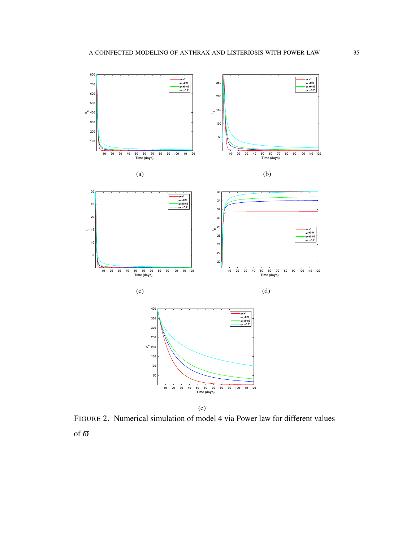

<span id="page-34-0"></span>FIGURE 2. Numerical simulation of model [4](#page-6-0) via Power law for different values of  $\varpi$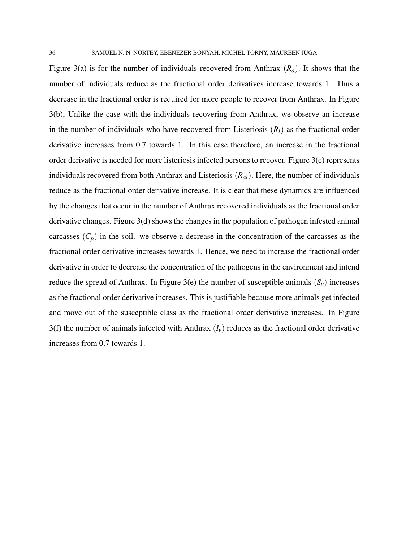Figure [3\(](#page-36-0)a) is for the number of individuals recovered from Anthrax  $(R_a)$ . It shows that the number of individuals reduce as the fractional order derivatives increase towards 1. Thus a decrease in the fractional order is required for more people to recover from Anthrax. In Figure [3\(](#page-36-0)b), Unlike the case with the individuals recovering from Anthrax, we observe an increase in the number of individuals who have recovered from Listeriosis (*Rl*) as the fractional order derivative increases from 0.7 towards 1. In this case therefore, an increase in the fractional order derivative is needed for more listeriosis infected persons to recover. Figure [3\(](#page-36-0)c) represents individuals recovered from both Anthrax and Listeriosis (*Ral*). Here, the number of individuals reduce as the fractional order derivative increase. It is clear that these dynamics are influenced by the changes that occur in the number of Anthrax recovered individuals as the fractional order derivative changes. Figure [3\(](#page-36-0)d) shows the changes in the population of pathogen infested animal carcasses  $(C_p)$  in the soil. we observe a decrease in the concentration of the carcasses as the fractional order derivative increases towards 1. Hence, we need to increase the fractional order derivative in order to decrease the concentration of the pathogens in the environment and intend reduce the spread of Anthrax. In Figure [3\(](#page-36-0)e) the number of susceptible animals  $(S_v)$  increases as the fractional order derivative increases. This is justifiable because more animals get infected and move out of the susceptible class as the fractional order derivative increases. In Figure  $3(f)$  $3(f)$  the number of animals infected with Anthrax  $(I_v)$  reduces as the fractional order derivative increases from 0.7 towards 1.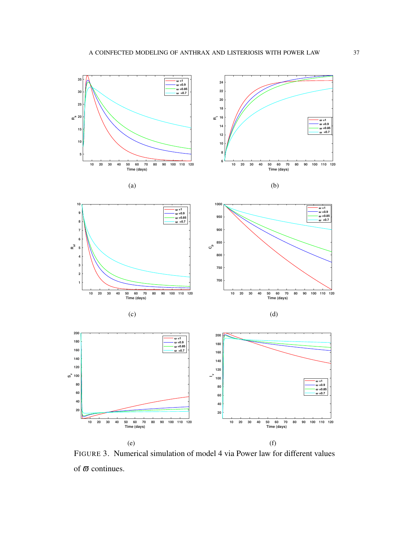

<span id="page-36-0"></span>FIGURE 3. Numerical simulation of model [4](#page-6-0) via Power law for different values of  $\overline{\omega}$  continues.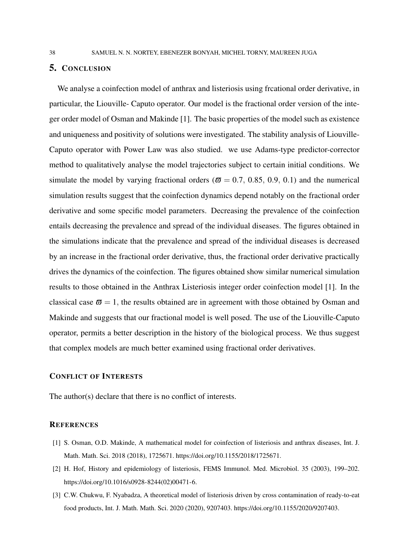## 5. CONCLUSION

We analyse a coinfection model of anthrax and listeriosis using frcational order derivative, in particular, the Liouville- Caputo operator. Our model is the fractional order version of the integer order model of Osman and Makinde [\[1\]](#page-37-0). The basic properties of the model such as existence and uniqueness and positivity of solutions were investigated. The stability analysis of Liouville-Caputo operator with Power Law was also studied. we use Adams-type predictor-corrector method to qualitatively analyse the model trajectories subject to certain initial conditions. We simulate the model by varying fractional orders ( $\bar{\omega} = 0.7, 0.85, 0.9, 0.1$ ) and the numerical simulation results suggest that the coinfection dynamics depend notably on the fractional order derivative and some specific model parameters. Decreasing the prevalence of the coinfection entails decreasing the prevalence and spread of the individual diseases. The figures obtained in the simulations indicate that the prevalence and spread of the individual diseases is decreased by an increase in the fractional order derivative, thus, the fractional order derivative practically drives the dynamics of the coinfection. The figures obtained show similar numerical simulation results to those obtained in the Anthrax Listeriosis integer order coinfection model [\[1\]](#page-37-0). In the classical case  $\bar{\omega} = 1$ , the results obtained are in agreement with those obtained by Osman and Makinde and suggests that our fractional model is well posed. The use of the Liouville-Caputo operator, permits a better description in the history of the biological process. We thus suggest that complex models are much better examined using fractional order derivatives.

### CONFLICT OF INTERESTS

The author(s) declare that there is no conflict of interests.

#### **REFERENCES**

- <span id="page-37-0"></span>[1] S. Osman, O.D. Makinde, A mathematical model for coinfection of listeriosis and anthrax diseases, Int. J. Math. Math. Sci. 2018 (2018), 1725671. [https://doi.org/10.1155/2018/1725671.](https://doi.org/10.1155/2018/1725671)
- <span id="page-37-1"></span>[2] H. Hof, History and epidemiology of listeriosis, FEMS Immunol. Med. Microbiol. 35 (2003), 199–202. [https://doi.org/10.1016/s0928-8244\(02\)00471-6.](https://doi.org/10.1016/s0928-8244(02)00471-6)
- <span id="page-37-2"></span>[3] C.W. Chukwu, F. Nyabadza, A theoretical model of listeriosis driven by cross contamination of ready-to-eat food products, Int. J. Math. Math. Sci. 2020 (2020), 9207403. [https://doi.org/10.1155/2020/9207403.](https://doi.org/10.1155/2020/9207403)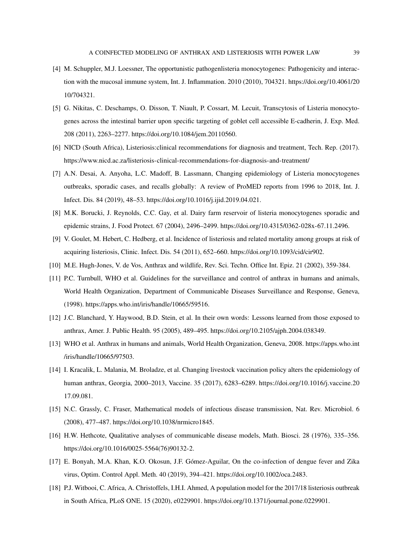- <span id="page-38-0"></span>[4] M. Schuppler, M.J. Loessner, The opportunistic pathogenlisteria monocytogenes: Pathogenicity and interaction with the mucosal immune system, Int. J. Inflammation. 2010 (2010), 704321. [https://doi.org/10.4061/20](https://doi.org/10.4061/2010/704321) [10/704321.](https://doi.org/10.4061/2010/704321)
- <span id="page-38-1"></span>[5] G. Nikitas, C. Deschamps, O. Disson, T. Niault, P. Cossart, M. Lecuit, Transcytosis of Listeria monocytogenes across the intestinal barrier upon specific targeting of goblet cell accessible E-cadherin, J. Exp. Med. 208 (2011), 2263–2277. [https://doi.org/10.1084/jem.20110560.](https://doi.org/10.1084/jem.20110560)
- <span id="page-38-2"></span>[6] NICD (South Africa), Listeriosis:clinical recommendations for diagnosis and treatment, Tech. Rep. (2017). <https://www.nicd.ac.za/listeriosis-clinical-recommendations-for-diagnosis-and-treatment/>
- <span id="page-38-3"></span>[7] A.N. Desai, A. Anyoha, L.C. Madoff, B. Lassmann, Changing epidemiology of Listeria monocytogenes outbreaks, sporadic cases, and recalls globally: A review of ProMED reports from 1996 to 2018, Int. J. Infect. Dis. 84 (2019), 48–53. [https://doi.org/10.1016/j.ijid.2019.04.021.](https://doi.org/10.1016/j.ijid.2019.04.021)
- <span id="page-38-4"></span>[8] M.K. Borucki, J. Reynolds, C.C. Gay, et al. Dairy farm reservoir of listeria monocytogenes sporadic and epidemic strains, J. Food Protect. 67 (2004), 2496–2499. [https://doi.org/10.4315/0362-028x-67.11.2496.](https://doi.org/10.4315/0362-028x-67.11.2496)
- <span id="page-38-5"></span>[9] V. Goulet, M. Hebert, C. Hedberg, et al. Incidence of listeriosis and related mortality among groups at risk of acquiring listeriosis, Clinic. Infect. Dis. 54 (2011), 652–660. [https://doi.org/10.1093/cid/cir902.](https://doi.org/10.1093/cid/cir902)
- <span id="page-38-6"></span>[10] M.E. Hugh-Jones, V. de Vos, Anthrax and wildlife, Rev. Sci. Techn. Office Int. Epiz. 21 (2002), 359-384.
- <span id="page-38-7"></span>[11] P.C. Turnbull, WHO et al. Guidelines for the surveillance and control of anthrax in humans and animals, World Health Organization, Department of Communicable Diseases Surveillance and Response, Geneva, (1998). [https://apps.who.int/iris/handle/10665/59516.](https://apps.who.int/iris/handle/10665/59516)
- <span id="page-38-8"></span>[12] J.C. Blanchard, Y. Haywood, B.D. Stein, et al. In their own words: Lessons learned from those exposed to anthrax, Amer. J. Public Health. 95 (2005), 489–495. [https://doi.org/10.2105/ajph.2004.038349.](https://doi.org/10.2105/ajph.2004.038349)
- <span id="page-38-9"></span>[13] WHO et al. Anthrax in humans and animals, World Health Organization, Geneva, 2008. [https://apps.who.int](https://apps.who.int/iris/handle/10665/97503) [/iris/handle/10665/97503.](https://apps.who.int/iris/handle/10665/97503)
- <span id="page-38-10"></span>[14] I. Kracalik, L. Malania, M. Broladze, et al. Changing livestock vaccination policy alters the epidemiology of human anthrax, Georgia, 2000–2013, Vaccine. 35 (2017), 6283–6289. [https://doi.org/10.1016/j.vaccine.20](https://doi.org/10.1016/j.vaccine.2017.09.081) [17.09.081.](https://doi.org/10.1016/j.vaccine.2017.09.081)
- <span id="page-38-11"></span>[15] N.C. Grassly, C. Fraser, Mathematical models of infectious disease transmission, Nat. Rev. Microbiol. 6 (2008), 477–487. [https://doi.org/10.1038/nrmicro1845.](https://doi.org/10.1038/nrmicro1845)
- <span id="page-38-12"></span>[16] H.W. Hethcote, Qualitative analyses of communicable disease models, Math. Biosci. 28 (1976), 335–356. [https://doi.org/10.1016/0025-5564\(76\)90132-2.](https://doi.org/10.1016/0025-5564(76)90132-2)
- <span id="page-38-13"></span>[17] E. Bonyah, M.A. Khan, K.O. Okosun, J.F. Gómez-Aguilar, On the co-infection of dengue fever and Zika virus, Optim. Control Appl. Meth. 40 (2019), 394–421. [https://doi.org/10.1002/oca.2483.](https://doi.org/10.1002/oca.2483)
- <span id="page-38-14"></span>[18] P.J. Witbooi, C. Africa, A. Christoffels, I.H.I. Ahmed, A population model for the 2017/18 listeriosis outbreak in South Africa, PLoS ONE. 15 (2020), e0229901. [https://doi.org/10.1371/journal.pone.0229901.](https://doi.org/10.1371/journal.pone.0229901)